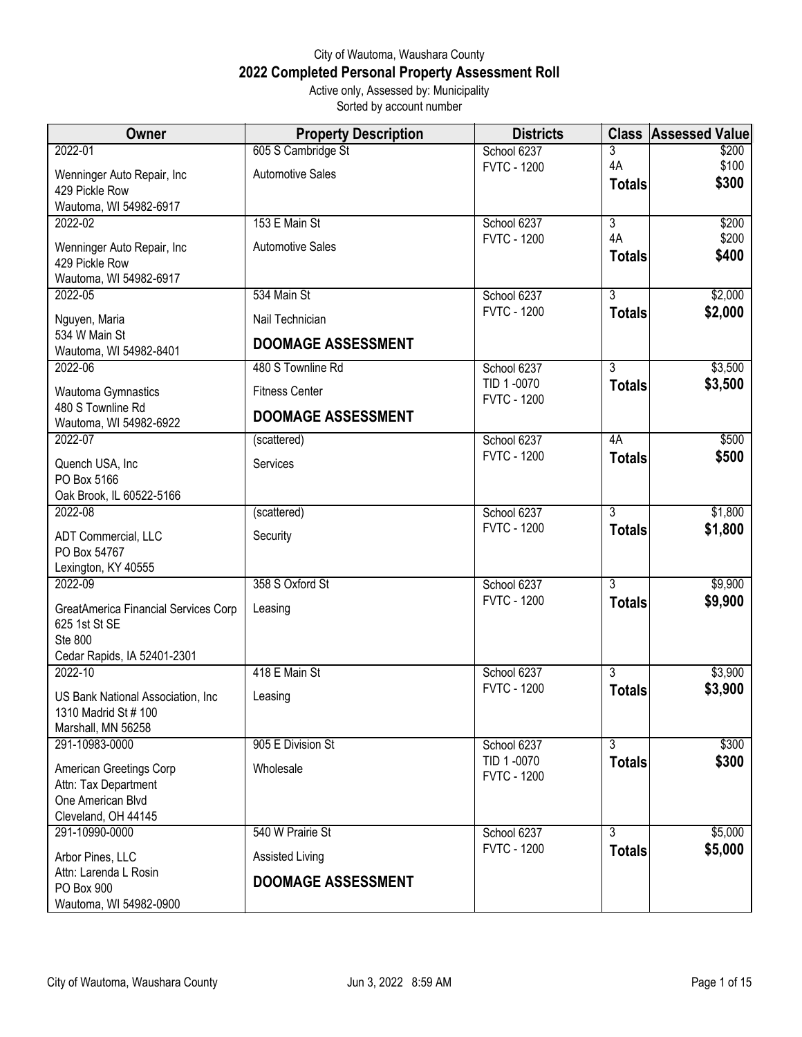## City of Wautoma, Waushara County **2022 Completed Personal Property Assessment Roll** Active only, Assessed by: Municipality

Sorted by account number

| <b>Owner</b>                                | <b>Property Description</b> | <b>Districts</b>                  |                                 | <b>Class Assessed Value</b> |
|---------------------------------------------|-----------------------------|-----------------------------------|---------------------------------|-----------------------------|
| 2022-01                                     | 605 S Cambridge St          | School 6237                       | 3                               | \$200                       |
| Wenninger Auto Repair, Inc                  | <b>Automotive Sales</b>     | <b>FVTC - 1200</b>                | 4A                              | \$100                       |
| 429 Pickle Row                              |                             |                                   | <b>Totals</b>                   | \$300                       |
| Wautoma, WI 54982-6917                      |                             |                                   |                                 |                             |
| 2022-02                                     | 153 E Main St               | School 6237                       | $\overline{3}$                  | \$200                       |
| Wenninger Auto Repair, Inc                  | <b>Automotive Sales</b>     | <b>FVTC - 1200</b>                | 4A<br><b>Totals</b>             | \$200<br>\$400              |
| 429 Pickle Row                              |                             |                                   |                                 |                             |
| Wautoma, WI 54982-6917                      |                             |                                   |                                 |                             |
| 2022-05                                     | 534 Main St                 | School 6237<br><b>FVTC - 1200</b> | $\overline{3}$<br><b>Totals</b> | \$2,000<br>\$2,000          |
| Nguyen, Maria                               | Nail Technician             |                                   |                                 |                             |
| 534 W Main St                               | <b>DOOMAGE ASSESSMENT</b>   |                                   |                                 |                             |
| Wautoma, WI 54982-8401<br>2022-06           | 480 S Townline Rd           | School 6237                       | $\overline{3}$                  | \$3,500                     |
|                                             |                             | TID 1-0070                        | <b>Totals</b>                   | \$3,500                     |
| Wautoma Gymnastics                          | <b>Fitness Center</b>       | <b>FVTC - 1200</b>                |                                 |                             |
| 480 S Townline Rd<br>Wautoma, WI 54982-6922 | <b>DOOMAGE ASSESSMENT</b>   |                                   |                                 |                             |
| 2022-07                                     | (scattered)                 | School 6237                       | 4A                              | \$500                       |
| Quench USA, Inc                             | Services                    | <b>FVTC - 1200</b>                | <b>Totals</b>                   | \$500                       |
| PO Box 5166                                 |                             |                                   |                                 |                             |
| Oak Brook, IL 60522-5166                    |                             |                                   |                                 |                             |
| 2022-08                                     | (scattered)                 | School 6237                       | $\overline{3}$                  | \$1,800                     |
| ADT Commercial, LLC                         | Security                    | <b>FVTC - 1200</b>                | <b>Totals</b>                   | \$1,800                     |
| PO Box 54767                                |                             |                                   |                                 |                             |
| Lexington, KY 40555<br>2022-09              | 358 S Oxford St             |                                   | $\overline{3}$                  |                             |
|                                             |                             | School 6237<br><b>FVTC - 1200</b> | <b>Totals</b>                   | \$9,900<br>\$9,900          |
| GreatAmerica Financial Services Corp        | Leasing                     |                                   |                                 |                             |
| 625 1st St SE<br><b>Ste 800</b>             |                             |                                   |                                 |                             |
| Cedar Rapids, IA 52401-2301                 |                             |                                   |                                 |                             |
| 2022-10                                     | 418 E Main St               | School 6237                       | 3                               | \$3,900                     |
| US Bank National Association, Inc.          | Leasing                     | <b>FVTC - 1200</b>                | <b>Totals</b>                   | \$3,900                     |
| 1310 Madrid St # 100                        |                             |                                   |                                 |                             |
| Marshall, MN 56258                          |                             |                                   |                                 |                             |
| 291-10983-0000                              | 905 E Division St           | School 6237                       | $\overline{3}$                  | \$300                       |
| American Greetings Corp                     | Wholesale                   | TID 1-0070                        | <b>Totals</b>                   | \$300                       |
| Attn: Tax Department                        |                             | <b>FVTC - 1200</b>                |                                 |                             |
| One American Blvd                           |                             |                                   |                                 |                             |
| Cleveland, OH 44145                         |                             |                                   |                                 |                             |
| 291-10990-0000                              | 540 W Prairie St            | School 6237<br><b>FVTC - 1200</b> | $\overline{3}$                  | \$5,000                     |
| Arbor Pines, LLC                            | <b>Assisted Living</b>      |                                   | <b>Totals</b>                   | \$5,000                     |
| Attn: Larenda L Rosin<br>PO Box 900         | <b>DOOMAGE ASSESSMENT</b>   |                                   |                                 |                             |
| Wautoma, WI 54982-0900                      |                             |                                   |                                 |                             |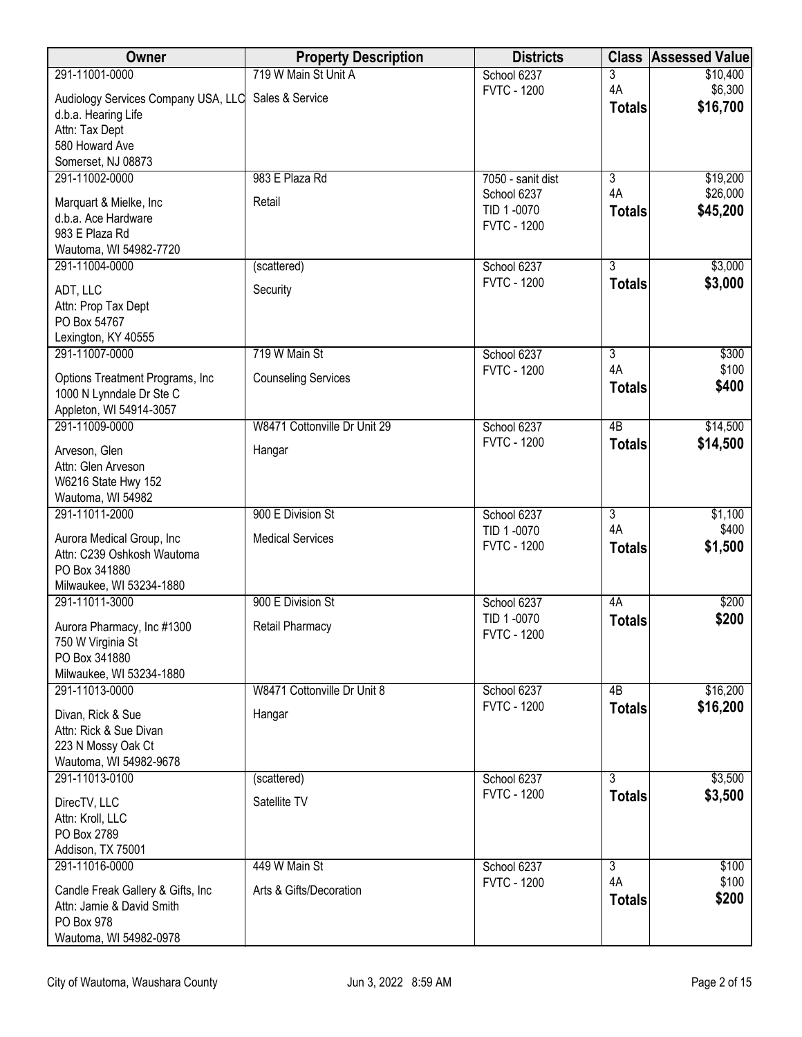| <b>Property Description</b>                         | <b>Districts</b>                                                                                                                                                                                                 |                                                                                                                                                                                                                                                                                                                   | <b>Class Assessed Value</b>                                                                                                                                                                                                                                |
|-----------------------------------------------------|------------------------------------------------------------------------------------------------------------------------------------------------------------------------------------------------------------------|-------------------------------------------------------------------------------------------------------------------------------------------------------------------------------------------------------------------------------------------------------------------------------------------------------------------|------------------------------------------------------------------------------------------------------------------------------------------------------------------------------------------------------------------------------------------------------------|
|                                                     |                                                                                                                                                                                                                  | 3                                                                                                                                                                                                                                                                                                                 | \$10,400                                                                                                                                                                                                                                                   |
| Audiology Services Company USA, LLC Sales & Service |                                                                                                                                                                                                                  |                                                                                                                                                                                                                                                                                                                   | \$6,300<br>\$16,700                                                                                                                                                                                                                                        |
|                                                     |                                                                                                                                                                                                                  |                                                                                                                                                                                                                                                                                                                   |                                                                                                                                                                                                                                                            |
|                                                     |                                                                                                                                                                                                                  |                                                                                                                                                                                                                                                                                                                   |                                                                                                                                                                                                                                                            |
|                                                     |                                                                                                                                                                                                                  |                                                                                                                                                                                                                                                                                                                   |                                                                                                                                                                                                                                                            |
| 983 E Plaza Rd                                      | 7050 - sanit dist                                                                                                                                                                                                | $\overline{3}$                                                                                                                                                                                                                                                                                                    | \$19,200                                                                                                                                                                                                                                                   |
| Retail                                              | School 6237                                                                                                                                                                                                      |                                                                                                                                                                                                                                                                                                                   | \$26,000                                                                                                                                                                                                                                                   |
|                                                     |                                                                                                                                                                                                                  |                                                                                                                                                                                                                                                                                                                   | \$45,200                                                                                                                                                                                                                                                   |
|                                                     |                                                                                                                                                                                                                  |                                                                                                                                                                                                                                                                                                                   |                                                                                                                                                                                                                                                            |
|                                                     |                                                                                                                                                                                                                  |                                                                                                                                                                                                                                                                                                                   | \$3,000                                                                                                                                                                                                                                                    |
|                                                     |                                                                                                                                                                                                                  |                                                                                                                                                                                                                                                                                                                   | \$3,000                                                                                                                                                                                                                                                    |
|                                                     |                                                                                                                                                                                                                  |                                                                                                                                                                                                                                                                                                                   |                                                                                                                                                                                                                                                            |
|                                                     |                                                                                                                                                                                                                  |                                                                                                                                                                                                                                                                                                                   |                                                                                                                                                                                                                                                            |
|                                                     |                                                                                                                                                                                                                  |                                                                                                                                                                                                                                                                                                                   |                                                                                                                                                                                                                                                            |
| 719 W Main St                                       | School 6237                                                                                                                                                                                                      | $\overline{3}$                                                                                                                                                                                                                                                                                                    | \$300                                                                                                                                                                                                                                                      |
| <b>Counseling Services</b>                          |                                                                                                                                                                                                                  |                                                                                                                                                                                                                                                                                                                   | \$100                                                                                                                                                                                                                                                      |
|                                                     |                                                                                                                                                                                                                  |                                                                                                                                                                                                                                                                                                                   | \$400                                                                                                                                                                                                                                                      |
|                                                     |                                                                                                                                                                                                                  |                                                                                                                                                                                                                                                                                                                   |                                                                                                                                                                                                                                                            |
|                                                     |                                                                                                                                                                                                                  |                                                                                                                                                                                                                                                                                                                   | \$14,500<br>\$14,500                                                                                                                                                                                                                                       |
|                                                     |                                                                                                                                                                                                                  |                                                                                                                                                                                                                                                                                                                   |                                                                                                                                                                                                                                                            |
|                                                     |                                                                                                                                                                                                                  |                                                                                                                                                                                                                                                                                                                   |                                                                                                                                                                                                                                                            |
|                                                     |                                                                                                                                                                                                                  |                                                                                                                                                                                                                                                                                                                   |                                                                                                                                                                                                                                                            |
| 900 E Division St                                   | School 6237                                                                                                                                                                                                      | $\overline{3}$                                                                                                                                                                                                                                                                                                    | \$1,100                                                                                                                                                                                                                                                    |
| <b>Medical Services</b>                             |                                                                                                                                                                                                                  |                                                                                                                                                                                                                                                                                                                   | \$400                                                                                                                                                                                                                                                      |
|                                                     |                                                                                                                                                                                                                  |                                                                                                                                                                                                                                                                                                                   | \$1,500                                                                                                                                                                                                                                                    |
|                                                     |                                                                                                                                                                                                                  |                                                                                                                                                                                                                                                                                                                   |                                                                                                                                                                                                                                                            |
|                                                     |                                                                                                                                                                                                                  |                                                                                                                                                                                                                                                                                                                   | \$200                                                                                                                                                                                                                                                      |
|                                                     | TID 1-0070                                                                                                                                                                                                       |                                                                                                                                                                                                                                                                                                                   | \$200                                                                                                                                                                                                                                                      |
|                                                     | <b>FVTC - 1200</b>                                                                                                                                                                                               |                                                                                                                                                                                                                                                                                                                   |                                                                                                                                                                                                                                                            |
|                                                     |                                                                                                                                                                                                                  |                                                                                                                                                                                                                                                                                                                   |                                                                                                                                                                                                                                                            |
|                                                     |                                                                                                                                                                                                                  |                                                                                                                                                                                                                                                                                                                   |                                                                                                                                                                                                                                                            |
|                                                     |                                                                                                                                                                                                                  |                                                                                                                                                                                                                                                                                                                   | \$16,200                                                                                                                                                                                                                                                   |
| Hangar                                              |                                                                                                                                                                                                                  |                                                                                                                                                                                                                                                                                                                   | \$16,200                                                                                                                                                                                                                                                   |
|                                                     |                                                                                                                                                                                                                  |                                                                                                                                                                                                                                                                                                                   |                                                                                                                                                                                                                                                            |
|                                                     |                                                                                                                                                                                                                  |                                                                                                                                                                                                                                                                                                                   |                                                                                                                                                                                                                                                            |
|                                                     |                                                                                                                                                                                                                  | $\overline{3}$                                                                                                                                                                                                                                                                                                    | \$3,500                                                                                                                                                                                                                                                    |
|                                                     | <b>FVTC - 1200</b>                                                                                                                                                                                               |                                                                                                                                                                                                                                                                                                                   | \$3,500                                                                                                                                                                                                                                                    |
|                                                     |                                                                                                                                                                                                                  |                                                                                                                                                                                                                                                                                                                   |                                                                                                                                                                                                                                                            |
|                                                     |                                                                                                                                                                                                                  |                                                                                                                                                                                                                                                                                                                   |                                                                                                                                                                                                                                                            |
|                                                     |                                                                                                                                                                                                                  |                                                                                                                                                                                                                                                                                                                   |                                                                                                                                                                                                                                                            |
|                                                     |                                                                                                                                                                                                                  |                                                                                                                                                                                                                                                                                                                   | \$100<br>\$100                                                                                                                                                                                                                                             |
| Arts & Gifts/Decoration                             |                                                                                                                                                                                                                  |                                                                                                                                                                                                                                                                                                                   | \$200                                                                                                                                                                                                                                                      |
|                                                     |                                                                                                                                                                                                                  |                                                                                                                                                                                                                                                                                                                   |                                                                                                                                                                                                                                                            |
|                                                     |                                                                                                                                                                                                                  |                                                                                                                                                                                                                                                                                                                   |                                                                                                                                                                                                                                                            |
|                                                     | 719 W Main St Unit A<br>(scattered)<br>Security<br>W8471 Cottonville Dr Unit 29<br>Hangar<br>900 E Division St<br>Retail Pharmacy<br>W8471 Cottonville Dr Unit 8<br>(scattered)<br>Satellite TV<br>449 W Main St | School 6237<br><b>FVTC - 1200</b><br>TID 1-0070<br><b>FVTC - 1200</b><br>School 6237<br><b>FVTC - 1200</b><br><b>FVTC - 1200</b><br>School 6237<br><b>FVTC - 1200</b><br>TID 1-0070<br><b>FVTC - 1200</b><br>School 6237<br>School 6237<br><b>FVTC - 1200</b><br>School 6237<br>School 6237<br><b>FVTC - 1200</b> | 4A<br><b>Totals</b><br>4A<br><b>Totals</b><br>$\overline{3}$<br><b>Totals</b><br>4A<br><b>Totals</b><br>$\overline{AB}$<br><b>Totals</b><br>4A<br><b>Totals</b><br>4A<br><b>Totals</b><br>4B<br><b>Totals</b><br><b>Totals</b><br>3<br>4A<br><b>Totals</b> |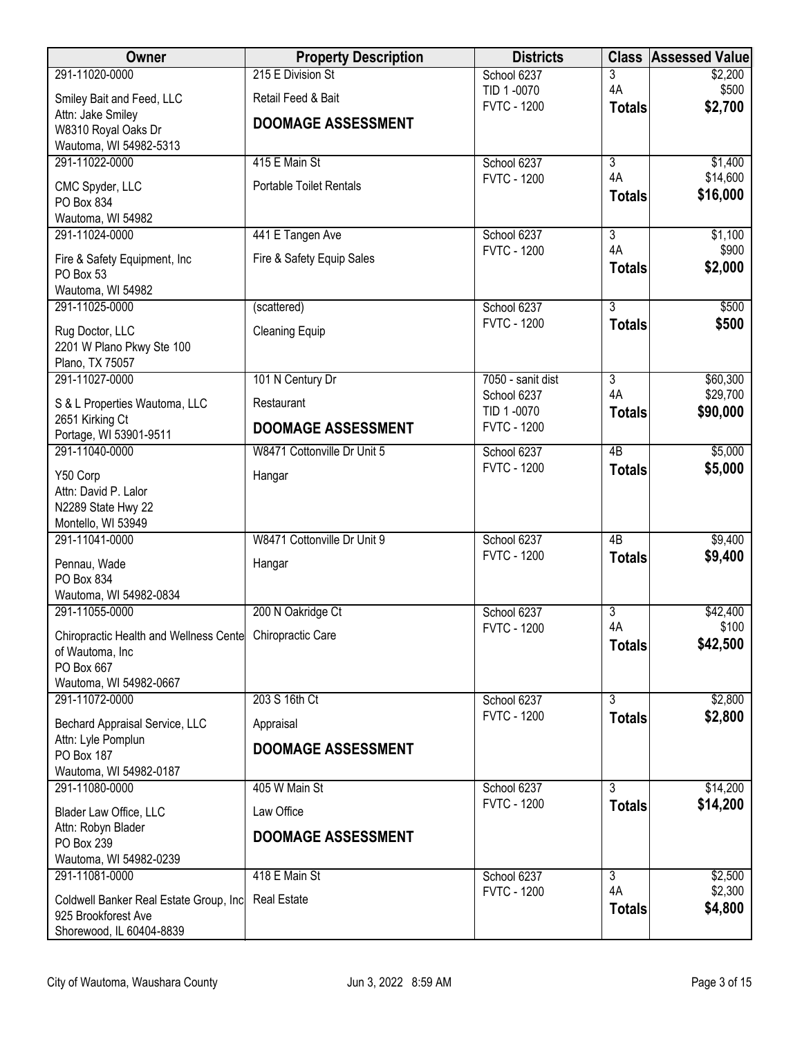| Owner                                                         | <b>Property Description</b>    | <b>Districts</b>                  |                      | <b>Class Assessed Value</b> |
|---------------------------------------------------------------|--------------------------------|-----------------------------------|----------------------|-----------------------------|
| 291-11020-0000                                                | 215 E Division St              | School 6237                       | 3                    | \$2,200                     |
| Smiley Bait and Feed, LLC                                     | Retail Feed & Bait             | TID 1-0070<br><b>FVTC - 1200</b>  | 4A<br><b>Totals</b>  | \$500<br>\$2,700            |
| Attn: Jake Smiley                                             | <b>DOOMAGE ASSESSMENT</b>      |                                   |                      |                             |
| W8310 Royal Oaks Dr<br>Wautoma, WI 54982-5313                 |                                |                                   |                      |                             |
| 291-11022-0000                                                | 415 E Main St                  | School 6237                       | $\overline{3}$       | \$1,400                     |
| CMC Spyder, LLC                                               | <b>Portable Toilet Rentals</b> | <b>FVTC - 1200</b>                | 4A                   | \$14,600                    |
| PO Box 834                                                    |                                |                                   | <b>Totals</b>        | \$16,000                    |
| Wautoma, WI 54982                                             |                                |                                   |                      |                             |
| 291-11024-0000                                                | 441 E Tangen Ave               | School 6237<br><b>FVTC - 1200</b> | $\overline{3}$<br>4A | \$1,100<br>\$900            |
| Fire & Safety Equipment, Inc.                                 | Fire & Safety Equip Sales      |                                   | <b>Totals</b>        | \$2,000                     |
| PO Box 53<br>Wautoma, WI 54982                                |                                |                                   |                      |                             |
| 291-11025-0000                                                | (scattered)                    | School 6237                       | $\overline{3}$       | \$500                       |
| Rug Doctor, LLC                                               | <b>Cleaning Equip</b>          | <b>FVTC - 1200</b>                | <b>Totals</b>        | \$500                       |
| 2201 W Plano Pkwy Ste 100                                     |                                |                                   |                      |                             |
| Plano, TX 75057                                               |                                |                                   |                      |                             |
| 291-11027-0000                                                | 101 N Century Dr               | 7050 - sanit dist<br>School 6237  | $\overline{3}$<br>4A | \$60,300<br>\$29,700        |
| S & L Properties Wautoma, LLC                                 | Restaurant                     | TID 1-0070                        | <b>Totals</b>        | \$90,000                    |
| 2651 Kirking Ct<br>Portage, WI 53901-9511                     | <b>DOOMAGE ASSESSMENT</b>      | <b>FVTC - 1200</b>                |                      |                             |
| 291-11040-0000                                                | W8471 Cottonville Dr Unit 5    | School 6237                       | $\overline{AB}$      | \$5,000                     |
| Y50 Corp                                                      | Hangar                         | <b>FVTC - 1200</b>                | <b>Totals</b>        | \$5,000                     |
| Attn: David P. Lalor                                          |                                |                                   |                      |                             |
| N2289 State Hwy 22                                            |                                |                                   |                      |                             |
| Montello, WI 53949<br>291-11041-0000                          | W8471 Cottonville Dr Unit 9    | School 6237                       | 4B                   | \$9,400                     |
|                                                               |                                | <b>FVTC - 1200</b>                | <b>Totals</b>        | \$9,400                     |
| Pennau, Wade<br>PO Box 834                                    | Hangar                         |                                   |                      |                             |
| Wautoma, WI 54982-0834                                        |                                |                                   |                      |                             |
| 291-11055-0000                                                | 200 N Oakridge Ct              | School 6237                       | $\overline{3}$       | \$42,400                    |
| Chiropractic Health and Wellness Cente Chiropractic Care      |                                | <b>FVTC - 1200</b>                | 4A<br><b>Totals</b>  | \$100<br>\$42,500           |
| of Wautoma, Inc                                               |                                |                                   |                      |                             |
| PO Box 667<br>Wautoma, WI 54982-0667                          |                                |                                   |                      |                             |
| 291-11072-0000                                                | 203 S 16th Ct                  | School 6237                       | $\overline{3}$       | \$2,800                     |
| Bechard Appraisal Service, LLC                                | Appraisal                      | <b>FVTC - 1200</b>                | <b>Totals</b>        | \$2,800                     |
| Attn: Lyle Pomplun                                            | <b>DOOMAGE ASSESSMENT</b>      |                                   |                      |                             |
| PO Box 187<br>Wautoma, WI 54982-0187                          |                                |                                   |                      |                             |
| 291-11080-0000                                                | 405 W Main St                  | School 6237                       | $\overline{3}$       | \$14,200                    |
| Blader Law Office, LLC                                        | Law Office                     | <b>FVTC - 1200</b>                | <b>Totals</b>        | \$14,200                    |
| Attn: Robyn Blader                                            |                                |                                   |                      |                             |
| PO Box 239                                                    | <b>DOOMAGE ASSESSMENT</b>      |                                   |                      |                             |
| Wautoma, WI 54982-0239                                        |                                |                                   |                      |                             |
| 291-11081-0000                                                | 418 E Main St                  | School 6237<br><b>FVTC - 1200</b> | $\overline{3}$<br>4A | \$2,500<br>\$2,300          |
| Coldwell Banker Real Estate Group, Inc<br>925 Brookforest Ave | <b>Real Estate</b>             |                                   | <b>Totals</b>        | \$4,800                     |
| Shorewood, IL 60404-8839                                      |                                |                                   |                      |                             |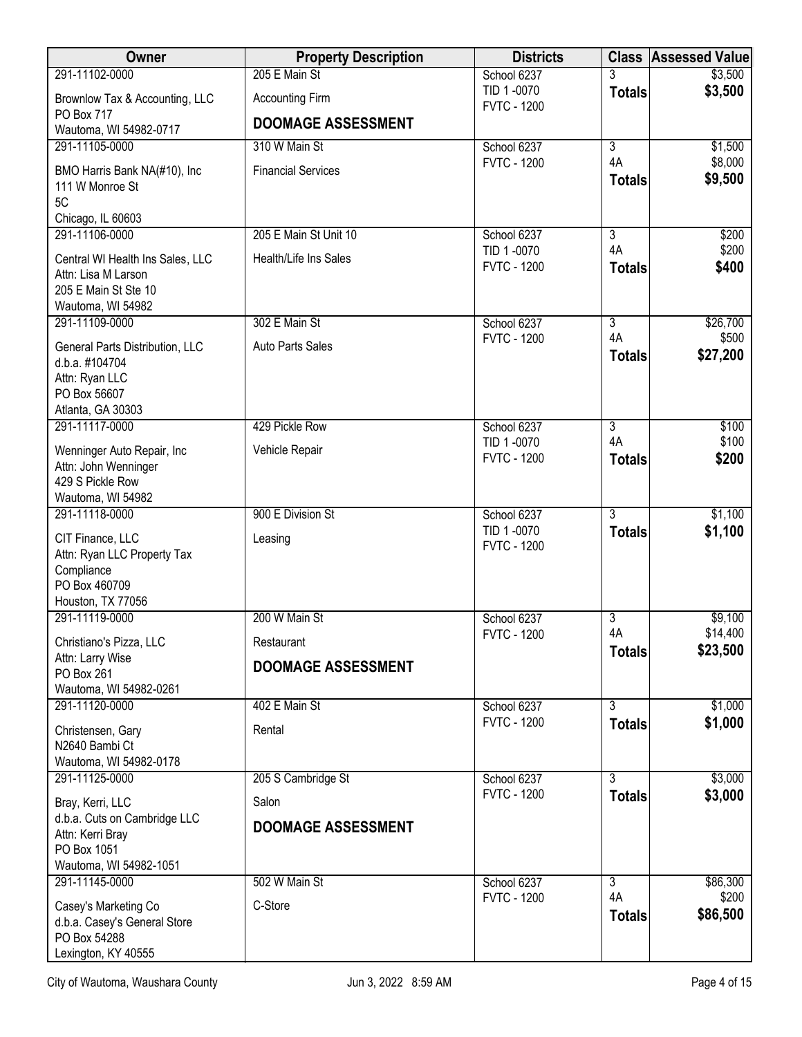| Owner                                                                                                         | <b>Property Description</b>             | <b>Districts</b>                 | <b>Class</b>        | <b>Assessed Value</b> |
|---------------------------------------------------------------------------------------------------------------|-----------------------------------------|----------------------------------|---------------------|-----------------------|
| 291-11102-0000                                                                                                | 205 E Main St                           | School 6237                      |                     | \$3,500               |
| Brownlow Tax & Accounting, LLC<br><b>PO Box 717</b>                                                           | <b>Accounting Firm</b>                  | TID 1-0070<br><b>FVTC - 1200</b> | <b>Totals</b>       | \$3,500               |
| Wautoma, WI 54982-0717                                                                                        | <b>DOOMAGE ASSESSMENT</b>               |                                  |                     |                       |
| 291-11105-0000                                                                                                | 310 W Main St                           | School 6237                      | $\overline{3}$      | \$1,500               |
| BMO Harris Bank NA(#10), Inc<br>111 W Monroe St<br>5C                                                         | <b>Financial Services</b>               | <b>FVTC - 1200</b>               | 4A<br><b>Totals</b> | \$8,000<br>\$9,500    |
| Chicago, IL 60603<br>291-11106-0000                                                                           | 205 E Main St Unit 10                   | School 6237                      | $\overline{3}$      | \$200                 |
| Central WI Health Ins Sales, LLC<br>Attn: Lisa M Larson<br>205 E Main St Ste 10<br>Wautoma, WI 54982          | <b>Health/Life Ins Sales</b>            | TID 1-0070<br><b>FVTC - 1200</b> | 4A<br><b>Totals</b> | \$200<br>\$400        |
| 291-11109-0000                                                                                                | 302 E Main St                           | School 6237                      | $\overline{3}$      | \$26,700              |
| General Parts Distribution, LLC<br>d.b.a. #104704<br>Attn: Ryan LLC<br>PO Box 56607<br>Atlanta, GA 30303      | Auto Parts Sales                        | <b>FVTC - 1200</b>               | 4A<br><b>Totals</b> | \$500<br>\$27,200     |
| 291-11117-0000                                                                                                | 429 Pickle Row                          | School 6237                      | $\overline{3}$      | \$100                 |
| Wenninger Auto Repair, Inc<br>Attn: John Wenninger<br>429 S Pickle Row<br>Wautoma, WI 54982                   | Vehicle Repair                          | TID 1-0070<br><b>FVTC - 1200</b> | 4A<br><b>Totals</b> | \$100<br>\$200        |
| 291-11118-0000                                                                                                | 900 E Division St                       | School 6237                      | $\overline{3}$      | \$1,100               |
| CIT Finance, LLC<br>Attn: Ryan LLC Property Tax<br>Compliance<br>PO Box 460709<br>Houston, TX 77056           | Leasing                                 | TID 1-0070<br><b>FVTC - 1200</b> | <b>Totals</b>       | \$1,100               |
| 291-11119-0000                                                                                                | 200 W Main St                           | School 6237                      | 3                   | \$9,100               |
| Christiano's Pizza, LLC<br>Attn: Larry Wise<br>PO Box 261                                                     | Restaurant<br><b>DOOMAGE ASSESSMENT</b> | <b>FVTC - 1200</b>               | 4A<br><b>Totals</b> | \$14,400<br>\$23,500  |
| Wautoma, WI 54982-0261<br>291-11120-0000                                                                      | 402 E Main St                           | School 6237                      | $\overline{3}$      | \$1,000               |
| Christensen, Gary<br>N2640 Bambi Ct<br>Wautoma, WI 54982-0178                                                 | Rental                                  | <b>FVTC - 1200</b>               | <b>Totals</b>       | \$1,000               |
| 291-11125-0000                                                                                                | 205 S Cambridge St                      | School 6237                      | 3                   | \$3,000               |
| Bray, Kerri, LLC<br>d.b.a. Cuts on Cambridge LLC<br>Attn: Kerri Bray<br>PO Box 1051<br>Wautoma, WI 54982-1051 | Salon<br><b>DOOMAGE ASSESSMENT</b>      | <b>FVTC - 1200</b>               | <b>Totals</b>       | \$3,000               |
| 291-11145-0000                                                                                                | 502 W Main St                           | School 6237                      | $\overline{3}$      | \$86,300              |
| Casey's Marketing Co<br>d.b.a. Casey's General Store<br>PO Box 54288<br>Lexington, KY 40555                   | C-Store                                 | <b>FVTC - 1200</b>               | 4A<br><b>Totals</b> | \$200<br>\$86,500     |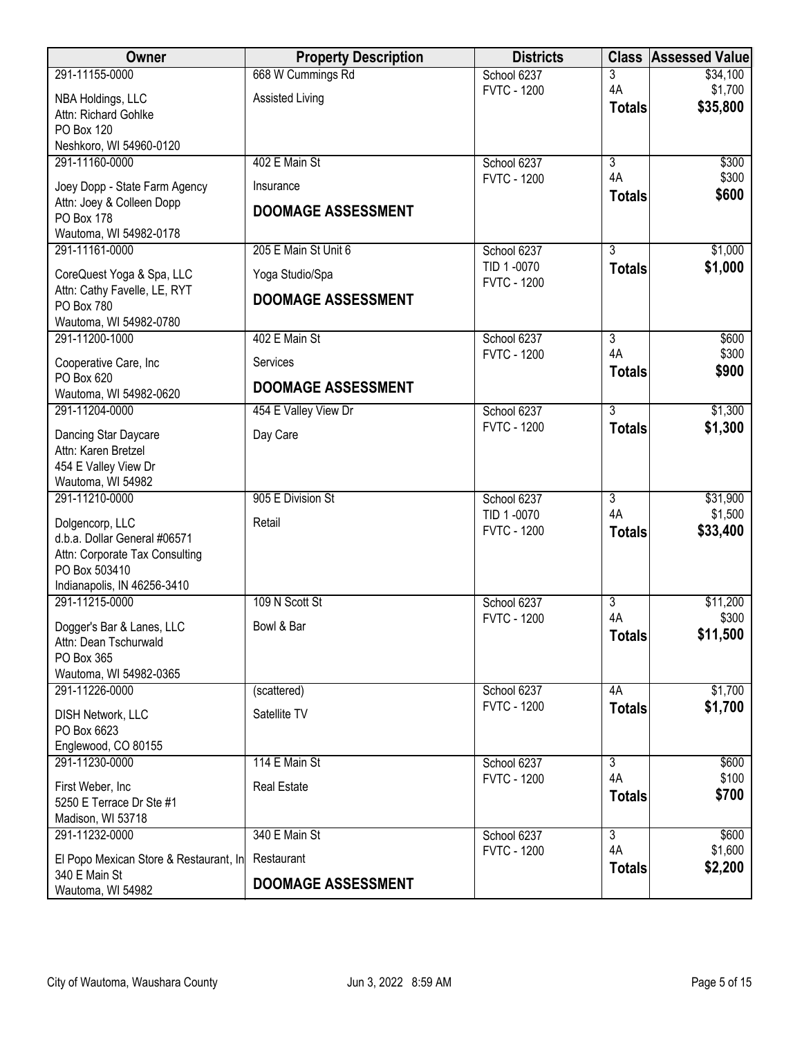| Owner                                                     | <b>Property Description</b> | <b>Districts</b>                  |                      | <b>Class Assessed Value</b> |
|-----------------------------------------------------------|-----------------------------|-----------------------------------|----------------------|-----------------------------|
| 291-11155-0000                                            | 668 W Cummings Rd           | School 6237                       | 3                    | \$34,100                    |
| NBA Holdings, LLC                                         | <b>Assisted Living</b>      | <b>FVTC - 1200</b>                | 4A                   | \$1,700                     |
| Attn: Richard Gohlke                                      |                             |                                   | <b>Totals</b>        | \$35,800                    |
| PO Box 120                                                |                             |                                   |                      |                             |
| Neshkoro, WI 54960-0120                                   |                             |                                   |                      |                             |
| 291-11160-0000                                            | 402 E Main St               | School 6237<br><b>FVTC - 1200</b> | $\overline{3}$<br>4A | \$300<br>\$300              |
| Joey Dopp - State Farm Agency                             | Insurance                   |                                   | <b>Totals</b>        | \$600                       |
| Attn: Joey & Colleen Dopp                                 | <b>DOOMAGE ASSESSMENT</b>   |                                   |                      |                             |
| PO Box 178<br>Wautoma, WI 54982-0178                      |                             |                                   |                      |                             |
| 291-11161-0000                                            | 205 E Main St Unit 6        | School 6237                       | $\overline{3}$       | \$1,000                     |
|                                                           |                             | TID 1-0070                        | <b>Totals</b>        | \$1,000                     |
| CoreQuest Yoga & Spa, LLC<br>Attn: Cathy Favelle, LE, RYT | Yoga Studio/Spa             | <b>FVTC - 1200</b>                |                      |                             |
| PO Box 780                                                | <b>DOOMAGE ASSESSMENT</b>   |                                   |                      |                             |
| Wautoma, WI 54982-0780                                    |                             |                                   |                      |                             |
| 291-11200-1000                                            | 402 E Main St               | School 6237                       | $\overline{3}$       | \$600                       |
| Cooperative Care, Inc                                     | Services                    | <b>FVTC - 1200</b>                | 4A                   | \$300                       |
| PO Box 620                                                | <b>DOOMAGE ASSESSMENT</b>   |                                   | <b>Totals</b>        | \$900                       |
| Wautoma, WI 54982-0620                                    |                             |                                   |                      |                             |
| 291-11204-0000                                            | 454 E Valley View Dr        | School 6237                       | $\overline{3}$       | \$1,300                     |
| Dancing Star Daycare                                      | Day Care                    | <b>FVTC - 1200</b>                | <b>Totals</b>        | \$1,300                     |
| Attn: Karen Bretzel                                       |                             |                                   |                      |                             |
| 454 E Valley View Dr                                      |                             |                                   |                      |                             |
| Wautoma, WI 54982<br>291-11210-0000                       | 905 E Division St           | School 6237                       | $\overline{3}$       | \$31,900                    |
|                                                           |                             | TID 1-0070                        | 4A                   | \$1,500                     |
| Dolgencorp, LLC<br>d.b.a. Dollar General #06571           | Retail                      | <b>FVTC - 1200</b>                | <b>Totals</b>        | \$33,400                    |
| Attn: Corporate Tax Consulting                            |                             |                                   |                      |                             |
| PO Box 503410                                             |                             |                                   |                      |                             |
| Indianapolis, IN 46256-3410                               |                             |                                   |                      |                             |
| 291-11215-0000                                            | 109 N Scott St              | School 6237                       | $\overline{3}$       | \$11,200                    |
| Dogger's Bar & Lanes, LLC                                 | Bowl & Bar                  | <b>FVTC - 1200</b>                | 4A                   | \$300                       |
| Attn: Dean Tschurwald                                     |                             |                                   | <b>Totals</b>        | \$11,500                    |
| PO Box 365                                                |                             |                                   |                      |                             |
| Wautoma, WI 54982-0365<br>291-11226-0000                  |                             |                                   | 4A                   | \$1,700                     |
|                                                           | (scattered)                 | School 6237<br><b>FVTC - 1200</b> | <b>Totals</b>        | \$1,700                     |
| DISH Network, LLC                                         | Satellite TV                |                                   |                      |                             |
| PO Box 6623<br>Englewood, CO 80155                        |                             |                                   |                      |                             |
| 291-11230-0000                                            | 114 E Main St               | School 6237                       | $\overline{3}$       | \$600                       |
|                                                           |                             | <b>FVTC - 1200</b>                | 4A                   | \$100                       |
| First Weber, Inc<br>5250 E Terrace Dr Ste #1              | <b>Real Estate</b>          |                                   | <b>Totals</b>        | \$700                       |
| Madison, WI 53718                                         |                             |                                   |                      |                             |
| 291-11232-0000                                            | 340 E Main St               | School 6237                       | $\overline{3}$       | \$600                       |
| El Popo Mexican Store & Restaurant, In                    | Restaurant                  | <b>FVTC - 1200</b>                | 4A                   | \$1,600                     |
| 340 E Main St                                             |                             |                                   | <b>Totals</b>        | \$2,200                     |
| Wautoma, WI 54982                                         | <b>DOOMAGE ASSESSMENT</b>   |                                   |                      |                             |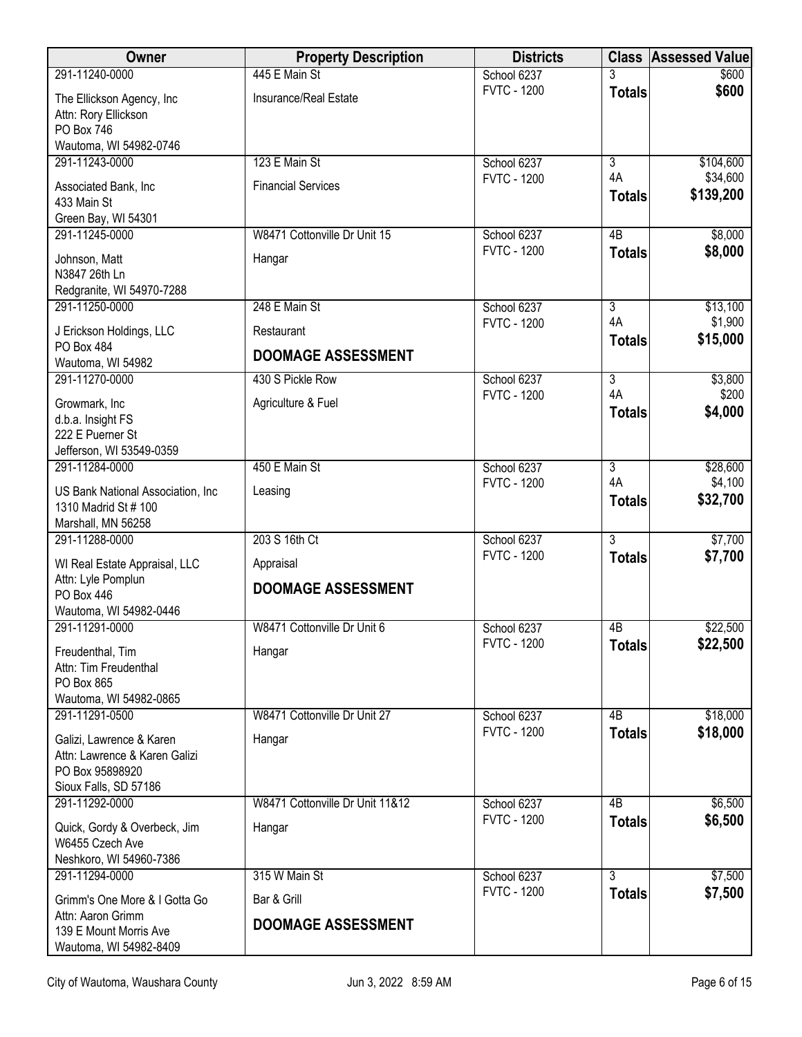| Owner                                                                                                 | <b>Property Description</b>            | <b>Districts</b>   | <b>Class</b>        | <b>Assessed Value</b> |
|-------------------------------------------------------------------------------------------------------|----------------------------------------|--------------------|---------------------|-----------------------|
| 291-11240-0000                                                                                        | 445 E Main St                          | School 6237        |                     | \$600                 |
| The Ellickson Agency, Inc<br>Attn: Rory Ellickson<br>PO Box 746<br>Wautoma, WI 54982-0746             | Insurance/Real Estate                  | <b>FVTC - 1200</b> | <b>Totals</b>       | \$600                 |
| 291-11243-0000                                                                                        | 123 E Main St                          | School 6237        | $\overline{3}$      | \$104,600             |
| Associated Bank, Inc<br>433 Main St<br>Green Bay, WI 54301                                            | <b>Financial Services</b>              | <b>FVTC - 1200</b> | 4A<br><b>Totals</b> | \$34,600<br>\$139,200 |
| 291-11245-0000                                                                                        | W8471 Cottonville Dr Unit 15           | School 6237        | 4 <sub>B</sub>      | \$8,000               |
| Johnson, Matt<br>N3847 26th Ln<br>Redgranite, WI 54970-7288                                           | Hangar                                 | <b>FVTC - 1200</b> | <b>Totals</b>       | \$8,000               |
| 291-11250-0000                                                                                        | 248 E Main St                          | School 6237        | $\overline{3}$      | \$13,100              |
| J Erickson Holdings, LLC<br>PO Box 484                                                                | Restaurant                             | <b>FVTC - 1200</b> | 4A<br><b>Totals</b> | \$1,900<br>\$15,000   |
| Wautoma, WI 54982                                                                                     | <b>DOOMAGE ASSESSMENT</b>              |                    |                     |                       |
| 291-11270-0000                                                                                        | 430 S Pickle Row                       | School 6237        | $\overline{3}$      | \$3,800               |
| Growmark, Inc<br>d.b.a. Insight FS                                                                    | Agriculture & Fuel                     | <b>FVTC - 1200</b> | 4A<br><b>Totals</b> | \$200<br>\$4,000      |
| 222 E Puerner St<br>Jefferson, WI 53549-0359                                                          |                                        |                    |                     |                       |
| 291-11284-0000                                                                                        | 450 E Main St                          | School 6237        | $\overline{3}$      | \$28,600              |
| US Bank National Association, Inc.<br>1310 Madrid St # 100<br>Marshall, MN 56258                      | Leasing                                | <b>FVTC - 1200</b> | 4A<br><b>Totals</b> | \$4,100<br>\$32,700   |
| 291-11288-0000                                                                                        | 203 S 16th Ct                          | School 6237        | $\overline{3}$      | \$7,700               |
| WI Real Estate Appraisal, LLC<br>Attn: Lyle Pomplun                                                   | Appraisal<br><b>DOOMAGE ASSESSMENT</b> | <b>FVTC - 1200</b> | <b>Totals</b>       | \$7,700               |
| PO Box 446<br>Wautoma, WI 54982-0446                                                                  |                                        |                    |                     |                       |
| 291-11291-0000                                                                                        | W8471 Cottonville Dr Unit 6            | School 6237        | 4B                  | \$22,500              |
| Freudenthal, Tim<br>Attn: Tim Freudenthal<br>PO Box 865<br>Wautoma, WI 54982-0865                     | Hangar                                 | <b>FVTC - 1200</b> | <b>Totals</b>       | \$22,500              |
| 291-11291-0500                                                                                        | W8471 Cottonville Dr Unit 27           | School 6237        | 4B                  | \$18,000              |
| Galizi, Lawrence & Karen<br>Attn: Lawrence & Karen Galizi<br>PO Box 95898920<br>Sioux Falls, SD 57186 | Hangar                                 | <b>FVTC - 1200</b> | <b>Totals</b>       | \$18,000              |
| 291-11292-0000                                                                                        | W8471 Cottonville Dr Unit 11&12        | School 6237        | 4B                  | \$6,500               |
| Quick, Gordy & Overbeck, Jim<br>W6455 Czech Ave<br>Neshkoro, WI 54960-7386                            | Hangar                                 | <b>FVTC - 1200</b> | <b>Totals</b>       | \$6,500               |
| 291-11294-0000                                                                                        | 315 W Main St                          | School 6237        | $\overline{3}$      | \$7,500               |
| Grimm's One More & I Gotta Go<br>Attn: Aaron Grimm                                                    | Bar & Grill                            | <b>FVTC - 1200</b> | <b>Totals</b>       | \$7,500               |
| 139 E Mount Morris Ave<br>Wautoma, WI 54982-8409                                                      | <b>DOOMAGE ASSESSMENT</b>              |                    |                     |                       |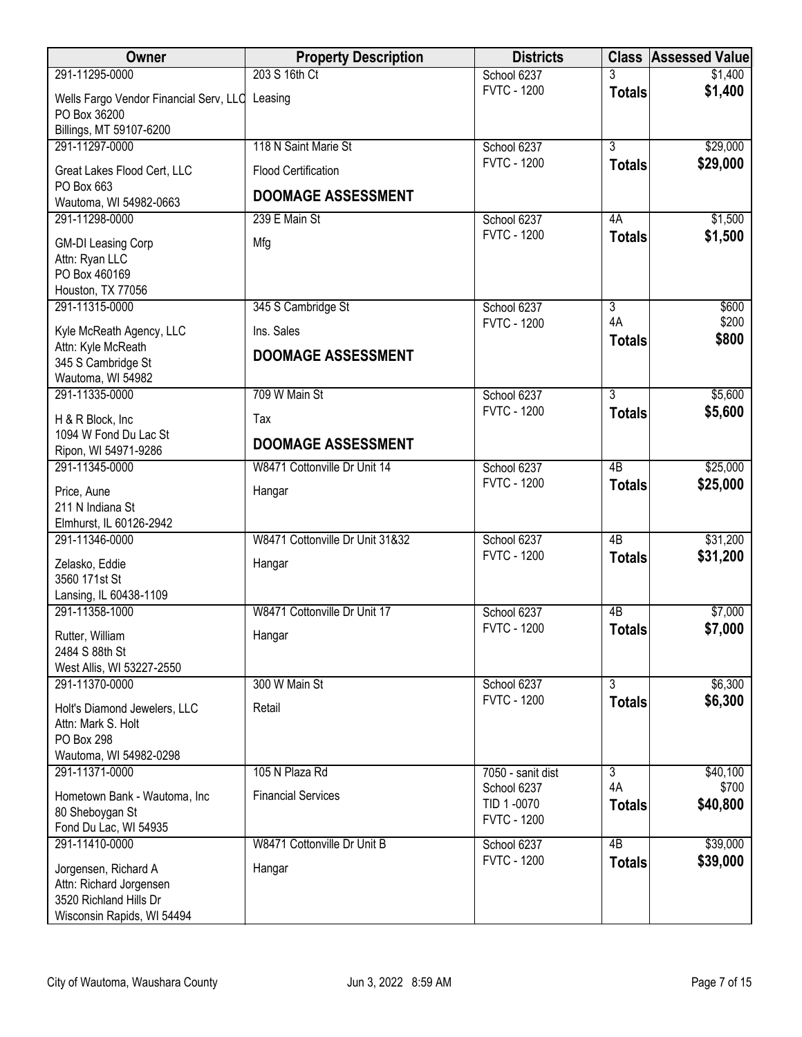| Owner                                       | <b>Property Description</b>     | <b>Districts</b>                  |                      | <b>Class Assessed Value</b> |
|---------------------------------------------|---------------------------------|-----------------------------------|----------------------|-----------------------------|
| 291-11295-0000                              | 203 S 16th Ct                   | School 6237                       |                      | \$1,400                     |
| Wells Fargo Vendor Financial Serv, LLC      | Leasing                         | <b>FVTC - 1200</b>                | <b>Totals</b>        | \$1,400                     |
| PO Box 36200                                |                                 |                                   |                      |                             |
| Billings, MT 59107-6200<br>291-11297-0000   | 118 N Saint Marie St            | School 6237                       | $\overline{3}$       | \$29,000                    |
|                                             |                                 | <b>FVTC - 1200</b>                | <b>Totals</b>        | \$29,000                    |
| Great Lakes Flood Cert, LLC<br>PO Box 663   | <b>Flood Certification</b>      |                                   |                      |                             |
| Wautoma, WI 54982-0663                      | <b>DOOMAGE ASSESSMENT</b>       |                                   |                      |                             |
| 291-11298-0000                              | 239 E Main St                   | School 6237                       | 4A                   | \$1,500                     |
| <b>GM-DI Leasing Corp</b>                   | Mfg                             | <b>FVTC - 1200</b>                | <b>Totals</b>        | \$1,500                     |
| Attn: Ryan LLC                              |                                 |                                   |                      |                             |
| PO Box 460169                               |                                 |                                   |                      |                             |
| Houston, TX 77056                           |                                 |                                   |                      |                             |
| 291-11315-0000                              | 345 S Cambridge St              | School 6237<br><b>FVTC - 1200</b> | $\overline{3}$<br>4A | \$600<br>\$200              |
| Kyle McReath Agency, LLC                    | Ins. Sales                      |                                   | <b>Totals</b>        | \$800                       |
| Attn: Kyle McReath<br>345 S Cambridge St    | <b>DOOMAGE ASSESSMENT</b>       |                                   |                      |                             |
| Wautoma, WI 54982                           |                                 |                                   |                      |                             |
| 291-11335-0000                              | 709 W Main St                   | School 6237                       | $\overline{3}$       | \$5,600                     |
| H & R Block, Inc.                           | Tax                             | <b>FVTC - 1200</b>                | <b>Totals</b>        | \$5,600                     |
| 1094 W Fond Du Lac St                       | <b>DOOMAGE ASSESSMENT</b>       |                                   |                      |                             |
| Ripon, WI 54971-9286                        |                                 |                                   |                      |                             |
| 291-11345-0000                              | W8471 Cottonville Dr Unit 14    | School 6237                       | $\overline{AB}$      | \$25,000                    |
| Price, Aune                                 | Hangar                          | <b>FVTC - 1200</b>                | <b>Totals</b>        | \$25,000                    |
| 211 N Indiana St                            |                                 |                                   |                      |                             |
| Elmhurst, IL 60126-2942<br>291-11346-0000   | W8471 Cottonville Dr Unit 31&32 | School 6237                       | $\overline{AB}$      | \$31,200                    |
|                                             |                                 | <b>FVTC - 1200</b>                | <b>Totals</b>        | \$31,200                    |
| Zelasko, Eddie<br>3560 171st St             | Hangar                          |                                   |                      |                             |
| Lansing, IL 60438-1109                      |                                 |                                   |                      |                             |
| 291-11358-1000                              | W8471 Cottonville Dr Unit 17    | School 6237                       | 4B                   | \$7,000                     |
| Rutter, William                             | Hangar                          | <b>FVTC - 1200</b>                | <b>Totals</b>        | \$7,000                     |
| 2484 S 88th St                              |                                 |                                   |                      |                             |
| West Allis, WI 53227-2550                   |                                 |                                   |                      |                             |
| 291-11370-0000                              | 300 W Main St                   | School 6237                       | $\overline{3}$       | \$6,300                     |
| Holt's Diamond Jewelers, LLC                | Retail                          | <b>FVTC - 1200</b>                | <b>Totals</b>        | \$6,300                     |
| Attn: Mark S. Holt                          |                                 |                                   |                      |                             |
| <b>PO Box 298</b><br>Wautoma, WI 54982-0298 |                                 |                                   |                      |                             |
| 291-11371-0000                              | 105 N Plaza Rd                  | 7050 - sanit dist                 | $\overline{3}$       | \$40,100                    |
| Hometown Bank - Wautoma, Inc                | <b>Financial Services</b>       | School 6237                       | 4A                   | \$700                       |
| 80 Sheboygan St                             |                                 | TID 1-0070                        | <b>Totals</b>        | \$40,800                    |
| Fond Du Lac, WI 54935                       |                                 | <b>FVTC - 1200</b>                |                      |                             |
| 291-11410-0000                              | W8471 Cottonville Dr Unit B     | School 6237                       | $\overline{AB}$      | \$39,000                    |
| Jorgensen, Richard A                        | Hangar                          | <b>FVTC - 1200</b>                | <b>Totals</b>        | \$39,000                    |
| Attn: Richard Jorgensen                     |                                 |                                   |                      |                             |
| 3520 Richland Hills Dr                      |                                 |                                   |                      |                             |
| Wisconsin Rapids, WI 54494                  |                                 |                                   |                      |                             |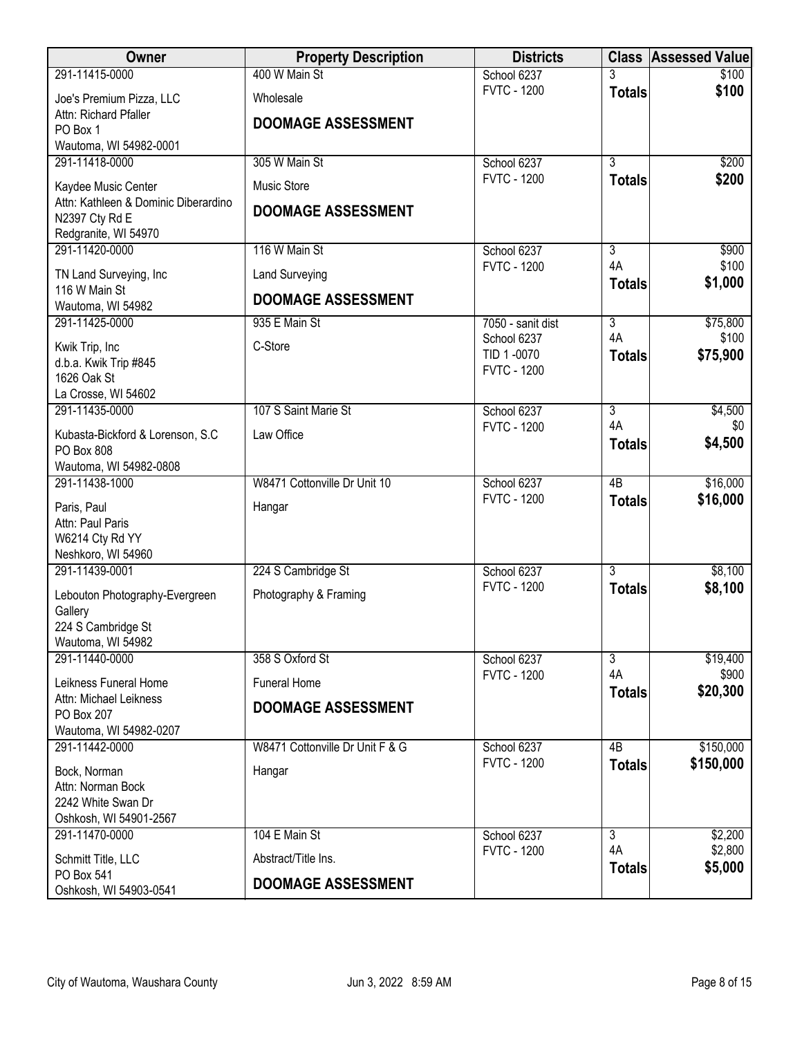| Owner                                        | <b>Property Description</b>     | <b>Districts</b>                  |                      | <b>Class Assessed Value</b> |
|----------------------------------------------|---------------------------------|-----------------------------------|----------------------|-----------------------------|
| 291-11415-0000                               | 400 W Main St                   | School 6237                       |                      | \$100                       |
| Joe's Premium Pizza, LLC                     | Wholesale                       | <b>FVTC - 1200</b>                | <b>Totals</b>        | \$100                       |
| Attn: Richard Pfaller                        | <b>DOOMAGE ASSESSMENT</b>       |                                   |                      |                             |
| PO Box 1<br>Wautoma, WI 54982-0001           |                                 |                                   |                      |                             |
| 291-11418-0000                               | 305 W Main St                   | School 6237                       | $\overline{3}$       | \$200                       |
| Kaydee Music Center                          | <b>Music Store</b>              | <b>FVTC - 1200</b>                | <b>Totals</b>        | \$200                       |
| Attn: Kathleen & Dominic Diberardino         | <b>DOOMAGE ASSESSMENT</b>       |                                   |                      |                             |
| N2397 Cty Rd E                               |                                 |                                   |                      |                             |
| Redgranite, WI 54970<br>291-11420-0000       | 116 W Main St                   | School 6237                       | $\overline{3}$       | \$900                       |
|                                              |                                 | <b>FVTC - 1200</b>                | 4A                   | \$100                       |
| TN Land Surveying, Inc<br>116 W Main St      | <b>Land Surveying</b>           |                                   | <b>Totals</b>        | \$1,000                     |
| Wautoma, WI 54982                            | <b>DOOMAGE ASSESSMENT</b>       |                                   |                      |                             |
| 291-11425-0000                               | 935 E Main St                   | 7050 - sanit dist                 | $\overline{3}$       | \$75,800                    |
| Kwik Trip, Inc                               | C-Store                         | School 6237<br>TID 1-0070         | 4A<br><b>Totals</b>  | \$100<br>\$75,900           |
| d.b.a. Kwik Trip #845<br>1626 Oak St         |                                 | <b>FVTC - 1200</b>                |                      |                             |
| La Crosse, WI 54602                          |                                 |                                   |                      |                             |
| 291-11435-0000                               | 107 S Saint Marie St            | School 6237                       | $\overline{3}$       | \$4,500                     |
| Kubasta-Bickford & Lorenson, S.C             | Law Office                      | <b>FVTC - 1200</b>                | 4A                   | \$0                         |
| PO Box 808                                   |                                 |                                   | <b>Totals</b>        | \$4,500                     |
| Wautoma, WI 54982-0808<br>291-11438-1000     | W8471 Cottonville Dr Unit 10    | School 6237                       | $\overline{AB}$      | \$16,000                    |
|                                              |                                 | <b>FVTC - 1200</b>                | <b>Totals</b>        | \$16,000                    |
| Paris, Paul<br>Attn: Paul Paris              | Hangar                          |                                   |                      |                             |
| W6214 Cty Rd YY                              |                                 |                                   |                      |                             |
| Neshkoro, WI 54960                           |                                 |                                   |                      |                             |
| 291-11439-0001                               | 224 S Cambridge St              | School 6237<br><b>FVTC - 1200</b> | $\overline{3}$       | \$8,100<br>\$8,100          |
| Lebouton Photography-Evergreen               | Photography & Framing           |                                   | <b>Totals</b>        |                             |
| Gallery<br>224 S Cambridge St                |                                 |                                   |                      |                             |
| Wautoma, WI 54982                            |                                 |                                   |                      |                             |
| 291-11440-0000                               | 358 S Oxford St                 | School 6237<br><b>FVTC - 1200</b> | $\overline{3}$<br>4A | \$19,400                    |
| Leikness Funeral Home                        | Funeral Home                    |                                   | <b>Totals</b>        | \$900<br>\$20,300           |
| Attn: Michael Leikness<br>PO Box 207         | <b>DOOMAGE ASSESSMENT</b>       |                                   |                      |                             |
| Wautoma, WI 54982-0207                       |                                 |                                   |                      |                             |
| 291-11442-0000                               | W8471 Cottonville Dr Unit F & G | School 6237                       | 4 <sub>B</sub>       | \$150,000                   |
| Bock, Norman                                 | Hangar                          | <b>FVTC - 1200</b>                | <b>Totals</b>        | \$150,000                   |
| Attn: Norman Bock                            |                                 |                                   |                      |                             |
| 2242 White Swan Dr<br>Oshkosh, WI 54901-2567 |                                 |                                   |                      |                             |
| 291-11470-0000                               | 104 E Main St                   | School 6237                       | $\overline{3}$       | \$2,200                     |
| Schmitt Title, LLC                           | Abstract/Title Ins.             | <b>FVTC - 1200</b>                | 4A                   | \$2,800                     |
| PO Box 541                                   | <b>DOOMAGE ASSESSMENT</b>       |                                   | <b>Totals</b>        | \$5,000                     |
| Oshkosh, WI 54903-0541                       |                                 |                                   |                      |                             |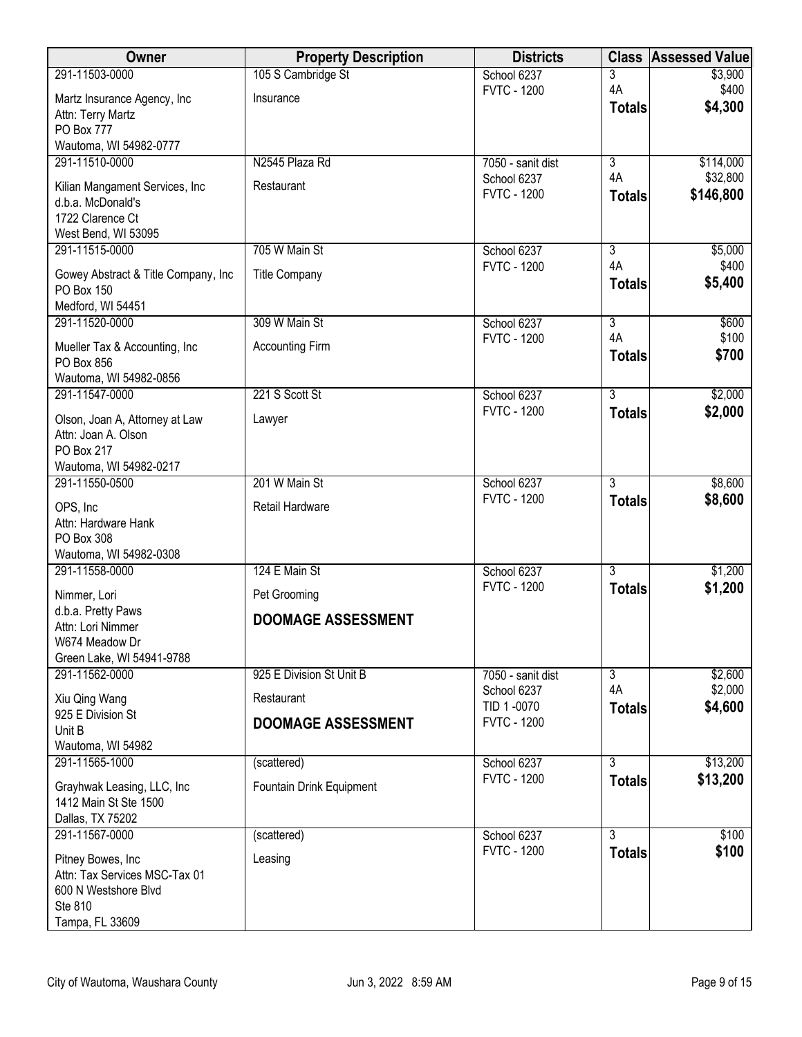| Owner                                                 | <b>Property Description</b> | <b>Districts</b>                  |                                 | <b>Class Assessed Value</b> |
|-------------------------------------------------------|-----------------------------|-----------------------------------|---------------------------------|-----------------------------|
| 291-11503-0000                                        | 105 S Cambridge St          | School 6237                       | 3                               | \$3,900                     |
| Martz Insurance Agency, Inc                           | Insurance                   | <b>FVTC - 1200</b>                | 4A<br><b>Totals</b>             | \$400<br>\$4,300            |
| Attn: Terry Martz                                     |                             |                                   |                                 |                             |
| PO Box 777<br>Wautoma, WI 54982-0777                  |                             |                                   |                                 |                             |
| 291-11510-0000                                        | N2545 Plaza Rd              | 7050 - sanit dist                 | $\overline{3}$                  | \$114,000                   |
| Kilian Mangament Services, Inc                        | Restaurant                  | School 6237                       | 4A                              | \$32,800                    |
| d.b.a. McDonald's                                     |                             | <b>FVTC - 1200</b>                | <b>Totals</b>                   | \$146,800                   |
| 1722 Clarence Ct                                      |                             |                                   |                                 |                             |
| West Bend, WI 53095                                   |                             |                                   |                                 |                             |
| 291-11515-0000                                        | 705 W Main St               | School 6237<br><b>FVTC - 1200</b> | $\overline{3}$<br>4A            | \$5,000<br>\$400            |
| Gowey Abstract & Title Company, Inc.                  | <b>Title Company</b>        |                                   | <b>Totals</b>                   | \$5,400                     |
| PO Box 150<br>Medford, WI 54451                       |                             |                                   |                                 |                             |
| 291-11520-0000                                        | 309 W Main St               | School 6237                       | $\overline{3}$                  | \$600                       |
| Mueller Tax & Accounting, Inc.                        | <b>Accounting Firm</b>      | <b>FVTC - 1200</b>                | 4A                              | \$100                       |
| PO Box 856                                            |                             |                                   | <b>Totals</b>                   | \$700                       |
| Wautoma, WI 54982-0856                                |                             |                                   |                                 |                             |
| 291-11547-0000                                        | 221 S Scott St              | School 6237                       | $\overline{3}$                  | \$2,000                     |
| Olson, Joan A, Attorney at Law                        | Lawyer                      | <b>FVTC - 1200</b>                | <b>Totals</b>                   | \$2,000                     |
| Attn: Joan A. Olson                                   |                             |                                   |                                 |                             |
| PO Box 217<br>Wautoma, WI 54982-0217                  |                             |                                   |                                 |                             |
| 291-11550-0500                                        | 201 W Main St               | School 6237                       | $\overline{3}$                  | \$8,600                     |
| OPS, Inc                                              | Retail Hardware             | <b>FVTC - 1200</b>                | <b>Totals</b>                   | \$8,600                     |
| Attn: Hardware Hank                                   |                             |                                   |                                 |                             |
| PO Box 308                                            |                             |                                   |                                 |                             |
| Wautoma, WI 54982-0308                                |                             |                                   |                                 |                             |
| 291-11558-0000                                        | 124 E Main St               | School 6237<br><b>FVTC - 1200</b> | $\overline{3}$                  | \$1,200                     |
| Nimmer, Lori                                          | Pet Grooming                |                                   | <b>Totals</b>                   | \$1,200                     |
| d.b.a. Pretty Paws<br>Attn: Lori Nimmer               | <b>DOOMAGE ASSESSMENT</b>   |                                   |                                 |                             |
| W674 Meadow Dr                                        |                             |                                   |                                 |                             |
| Green Lake, WI 54941-9788                             |                             |                                   |                                 |                             |
| 291-11562-0000                                        | 925 E Division St Unit B    | 7050 - sanit dist                 | $\overline{\overline{3}}$<br>4A | \$2,600                     |
| Xiu Qing Wang                                         | Restaurant                  | School 6237<br>TID 1-0070         | <b>Totals</b>                   | \$2,000<br>\$4,600          |
| 925 E Division St                                     | <b>DOOMAGE ASSESSMENT</b>   | <b>FVTC - 1200</b>                |                                 |                             |
| Unit B<br>Wautoma, WI 54982                           |                             |                                   |                                 |                             |
| 291-11565-1000                                        | (scattered)                 | School 6237                       | $\overline{3}$                  | \$13,200                    |
| Grayhwak Leasing, LLC, Inc.                           | Fountain Drink Equipment    | <b>FVTC - 1200</b>                | <b>Totals</b>                   | \$13,200                    |
| 1412 Main St Ste 1500                                 |                             |                                   |                                 |                             |
| Dallas, TX 75202                                      |                             |                                   |                                 |                             |
| 291-11567-0000                                        | (scattered)                 | School 6237<br><b>FVTC - 1200</b> | $\overline{3}$                  | \$100                       |
| Pitney Bowes, Inc                                     | Leasing                     |                                   | <b>Totals</b>                   | \$100                       |
| Attn: Tax Services MSC-Tax 01<br>600 N Westshore Blvd |                             |                                   |                                 |                             |
| Ste 810                                               |                             |                                   |                                 |                             |
| Tampa, FL 33609                                       |                             |                                   |                                 |                             |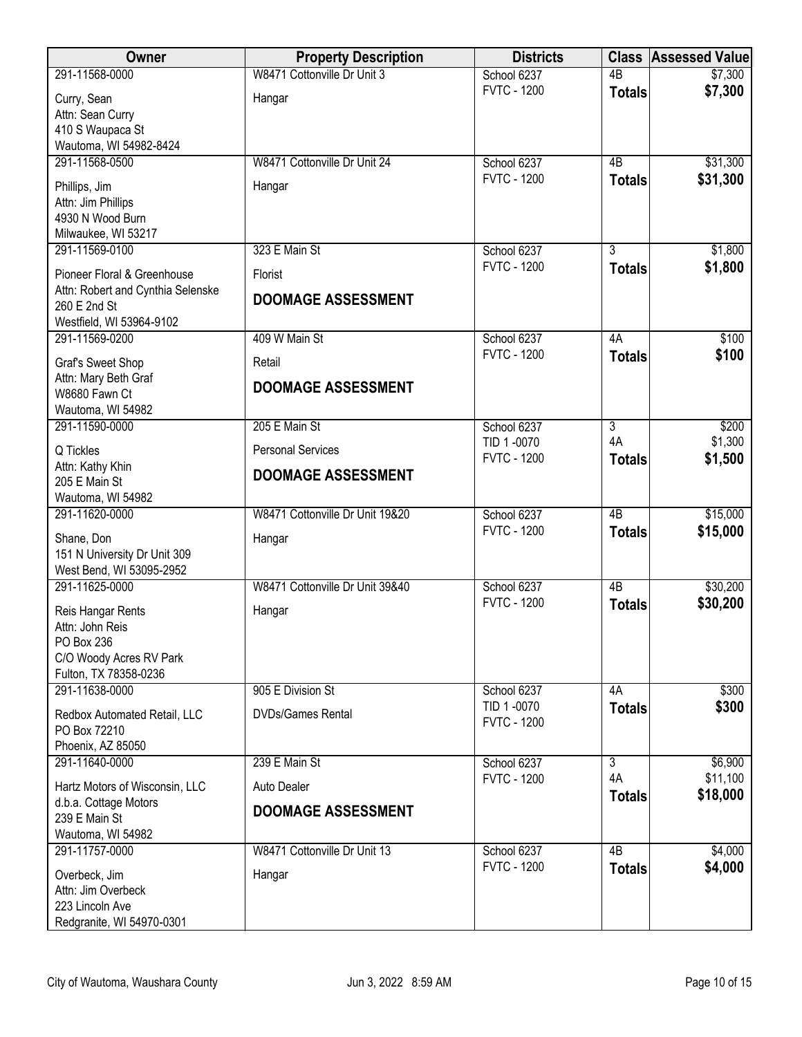| <b>Owner</b>                                                                                           | <b>Property Description</b>     | <b>Districts</b>                  |                     | <b>Class Assessed Value</b> |
|--------------------------------------------------------------------------------------------------------|---------------------------------|-----------------------------------|---------------------|-----------------------------|
| 291-11568-0000                                                                                         | W8471 Cottonville Dr Unit 3     | School 6237                       | $\overline{AB}$     | \$7,300                     |
| Curry, Sean<br>Attn: Sean Curry<br>410 S Waupaca St<br>Wautoma, WI 54982-8424                          | Hangar                          | <b>FVTC - 1200</b>                | <b>Totals</b>       | \$7,300                     |
| 291-11568-0500                                                                                         | W8471 Cottonville Dr Unit 24    | School 6237                       | 4B                  | \$31,300                    |
| Phillips, Jim<br>Attn: Jim Phillips<br>4930 N Wood Burn<br>Milwaukee, WI 53217                         | Hangar                          | <b>FVTC - 1200</b>                | <b>Totals</b>       | \$31,300                    |
| 291-11569-0100                                                                                         | 323 E Main St                   | School 6237<br><b>FVTC - 1200</b> | 3                   | \$1,800                     |
| Pioneer Floral & Greenhouse                                                                            | Florist                         |                                   | <b>Totals</b>       | \$1,800                     |
| Attn: Robert and Cynthia Selenske<br>260 E 2nd St<br>Westfield, WI 53964-9102                          | <b>DOOMAGE ASSESSMENT</b>       |                                   |                     |                             |
| 291-11569-0200                                                                                         | 409 W Main St                   | School 6237                       | 4A                  | \$100                       |
| Graf's Sweet Shop                                                                                      | Retail                          | <b>FVTC - 1200</b>                | <b>Totals</b>       | \$100                       |
| Attn: Mary Beth Graf<br>W8680 Fawn Ct<br>Wautoma, WI 54982                                             | <b>DOOMAGE ASSESSMENT</b>       |                                   |                     |                             |
| 291-11590-0000                                                                                         | 205 E Main St                   | School 6237                       | 3                   | \$200                       |
| Q Tickles                                                                                              | <b>Personal Services</b>        | TID 1-0070<br><b>FVTC - 1200</b>  | 4A<br><b>Totals</b> | \$1,300<br>\$1,500          |
| Attn: Kathy Khin<br>205 E Main St<br>Wautoma, WI 54982                                                 | <b>DOOMAGE ASSESSMENT</b>       |                                   |                     |                             |
| 291-11620-0000                                                                                         | W8471 Cottonville Dr Unit 19&20 | School 6237                       | $\overline{AB}$     | \$15,000                    |
| Shane, Don<br>151 N University Dr Unit 309<br>West Bend, WI 53095-2952                                 | Hangar                          | <b>FVTC - 1200</b>                | <b>Totals</b>       | \$15,000                    |
| 291-11625-0000                                                                                         | W8471 Cottonville Dr Unit 39&40 | School 6237                       | $\overline{AB}$     | \$30,200                    |
| Reis Hangar Rents<br>Attn: John Reis<br>PO Box 236<br>C/O Woody Acres RV Park<br>Fulton, TX 78358-0236 | Hangar                          | <b>FVTC - 1200</b>                | <b>Totals</b>       | \$30,200                    |
| 291-11638-0000                                                                                         | 905 E Division St               | School 6237                       | 4A                  | \$300                       |
| Redbox Automated Retail, LLC<br>PO Box 72210<br>Phoenix, AZ 85050                                      | <b>DVDs/Games Rental</b>        | TID 1-0070<br><b>FVTC - 1200</b>  | <b>Totals</b>       | \$300                       |
| 291-11640-0000                                                                                         | 239 E Main St                   | School 6237                       | 3                   | \$6,900                     |
| Hartz Motors of Wisconsin, LLC                                                                         | Auto Dealer                     | <b>FVTC - 1200</b>                | 4A<br><b>Totals</b> | \$11,100<br>\$18,000        |
| d.b.a. Cottage Motors                                                                                  | <b>DOOMAGE ASSESSMENT</b>       |                                   |                     |                             |
| 239 E Main St<br>Wautoma, WI 54982                                                                     |                                 |                                   |                     |                             |
| 291-11757-0000                                                                                         | W8471 Cottonville Dr Unit 13    | School 6237                       | $\overline{AB}$     | \$4,000                     |
| Overbeck, Jim<br>Attn: Jim Overbeck<br>223 Lincoln Ave<br>Redgranite, WI 54970-0301                    | Hangar                          | <b>FVTC - 1200</b>                | <b>Totals</b>       | \$4,000                     |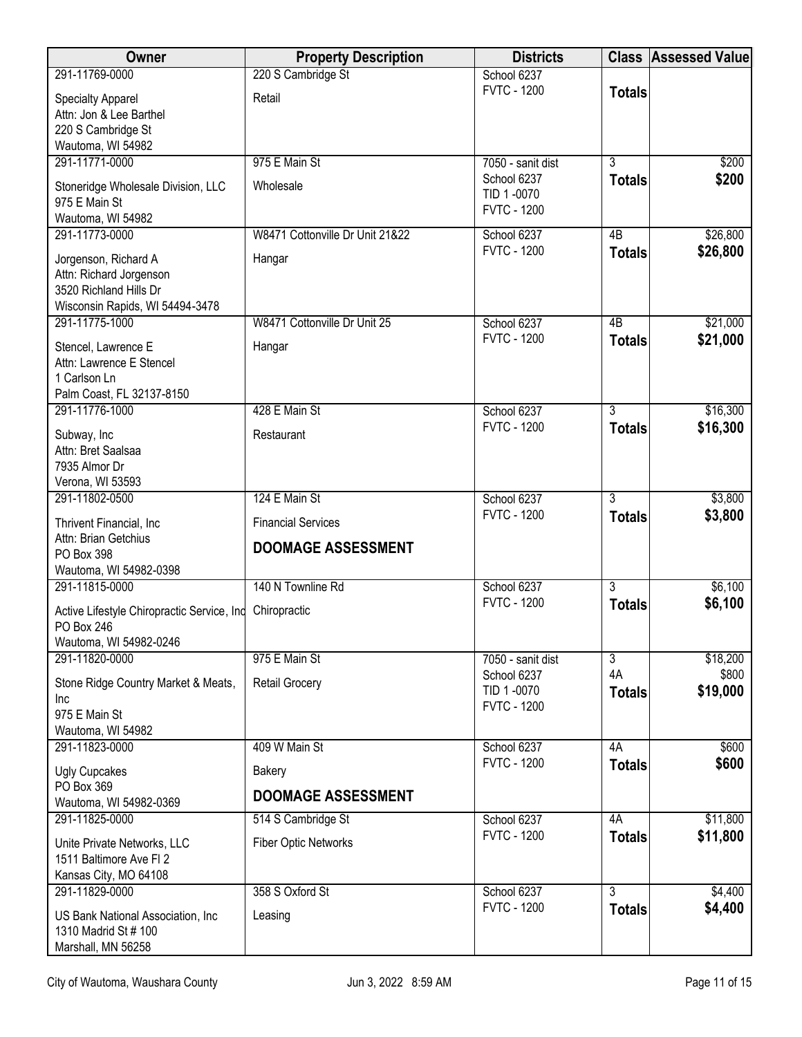| <b>Owner</b>                                                                                                 | <b>Property Description</b>                            | <b>Districts</b>                                |                     | <b>Class Assessed Value</b> |
|--------------------------------------------------------------------------------------------------------------|--------------------------------------------------------|-------------------------------------------------|---------------------|-----------------------------|
| 291-11769-0000                                                                                               | 220 S Cambridge St                                     | School 6237                                     |                     |                             |
| <b>Specialty Apparel</b><br>Attn: Jon & Lee Barthel<br>220 S Cambridge St<br>Wautoma, WI 54982               | Retail                                                 | <b>FVTC - 1200</b>                              | <b>Totals</b>       |                             |
| 291-11771-0000                                                                                               | 975 E Main St                                          | 7050 - sanit dist                               | $\overline{3}$      | \$200                       |
| Stoneridge Wholesale Division, LLC<br>975 E Main St<br>Wautoma, WI 54982                                     | Wholesale                                              | School 6237<br>TID 1-0070<br><b>FVTC - 1200</b> | <b>Totals</b>       | \$200                       |
| 291-11773-0000                                                                                               | W8471 Cottonville Dr Unit 21&22                        | School 6237                                     | 4B                  | \$26,800                    |
| Jorgenson, Richard A<br>Attn: Richard Jorgenson<br>3520 Richland Hills Dr<br>Wisconsin Rapids, WI 54494-3478 | Hangar                                                 | <b>FVTC - 1200</b>                              | <b>Totals</b>       | \$26,800                    |
| 291-11775-1000                                                                                               | W8471 Cottonville Dr Unit 25                           | School 6237                                     | 4B                  | \$21,000                    |
| Stencel, Lawrence E<br>Attn: Lawrence E Stencel<br>1 Carlson Ln<br>Palm Coast, FL 32137-8150                 | Hangar                                                 | <b>FVTC - 1200</b>                              | <b>Totals</b>       | \$21,000                    |
| 291-11776-1000                                                                                               | 428 E Main St                                          | School 6237                                     | $\overline{3}$      | \$16,300                    |
| Subway, Inc<br>Attn: Bret Saalsaa<br>7935 Almor Dr<br>Verona, WI 53593                                       | Restaurant                                             | <b>FVTC - 1200</b>                              | <b>Totals</b>       | \$16,300                    |
| 291-11802-0500                                                                                               | 124 E Main St                                          | School 6237                                     | $\overline{3}$      | \$3,800                     |
| Thrivent Financial, Inc.<br>Attn: Brian Getchius<br>PO Box 398<br>Wautoma, WI 54982-0398                     | <b>Financial Services</b><br><b>DOOMAGE ASSESSMENT</b> | <b>FVTC - 1200</b>                              | <b>Totals</b>       | \$3,800                     |
| 291-11815-0000                                                                                               | 140 N Townline Rd                                      | School 6237                                     | $\overline{3}$      | \$6,100                     |
| Active Lifestyle Chiropractic Service, Ind<br>PO Box 246<br>Wautoma, WI 54982-0246                           | Chiropractic                                           | <b>FVTC - 1200</b>                              | <b>Totals</b>       | \$6,100                     |
| 291-11820-0000                                                                                               | 975 E Main St                                          | 7050 - sanit dist                               | $\overline{3}$      | \$18,200                    |
| Stone Ridge Country Market & Meats,<br>Inc<br>975 E Main St<br>Wautoma, WI 54982                             | <b>Retail Grocery</b>                                  | School 6237<br>TID 1-0070<br><b>FVTC - 1200</b> | 4A<br><b>Totals</b> | \$800<br>\$19,000           |
| 291-11823-0000                                                                                               | 409 W Main St                                          | School 6237                                     | 4A                  | \$600                       |
| <b>Ugly Cupcakes</b>                                                                                         | Bakery                                                 | <b>FVTC - 1200</b>                              | <b>Totals</b>       | \$600                       |
| PO Box 369<br>Wautoma, WI 54982-0369                                                                         | <b>DOOMAGE ASSESSMENT</b>                              |                                                 |                     |                             |
| 291-11825-0000                                                                                               | 514 S Cambridge St                                     | School 6237                                     | 4A                  | \$11,800                    |
| Unite Private Networks, LLC<br>1511 Baltimore Ave FI 2<br>Kansas City, MO 64108                              | <b>Fiber Optic Networks</b>                            | <b>FVTC - 1200</b>                              | <b>Totals</b>       | \$11,800                    |
| 291-11829-0000                                                                                               | 358 S Oxford St                                        | School 6237                                     | $\overline{3}$      | \$4,400                     |
| US Bank National Association, Inc.<br>1310 Madrid St # 100<br>Marshall, MN 56258                             | Leasing                                                | <b>FVTC - 1200</b>                              | <b>Totals</b>       | \$4,400                     |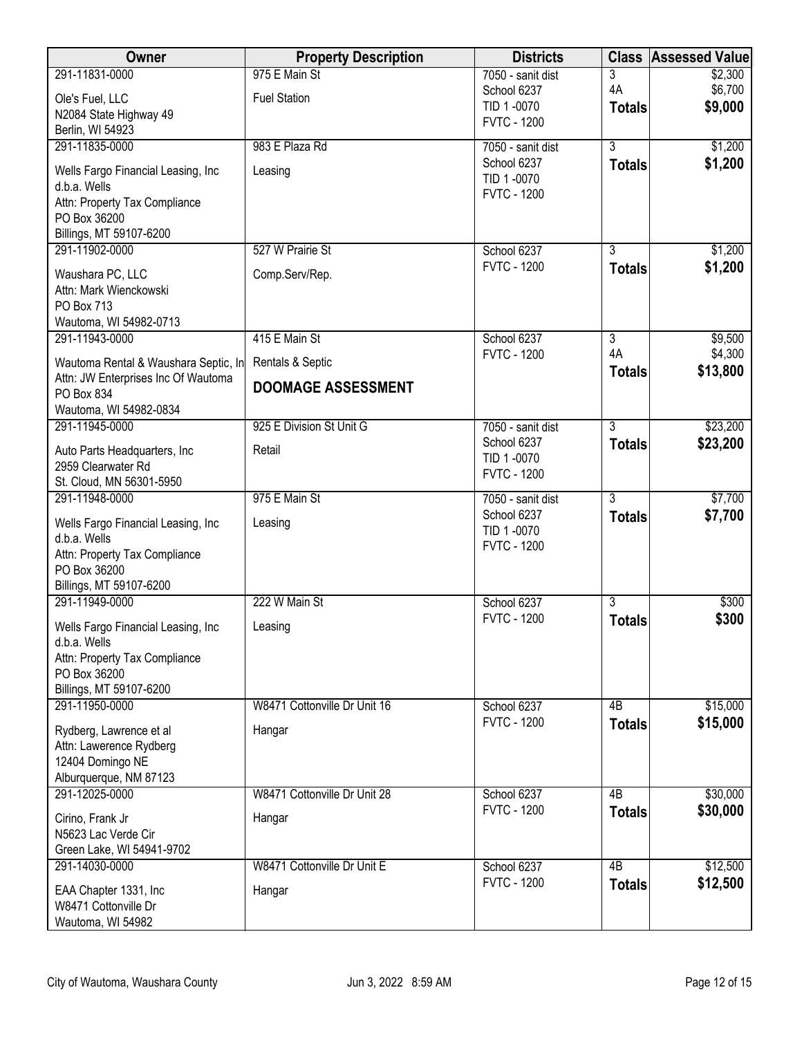| Owner                                               | <b>Property Description</b>  | <b>Districts</b>                 | <b>Class</b>    | <b>Assessed Value</b> |
|-----------------------------------------------------|------------------------------|----------------------------------|-----------------|-----------------------|
| 291-11831-0000                                      | 975 E Main St                | 7050 - sanit dist                | 3               | \$2,300               |
| Ole's Fuel, LLC                                     | <b>Fuel Station</b>          | School 6237<br>TID 1-0070        | 4A              | \$6,700<br>\$9,000    |
| N2084 State Highway 49                              |                              | <b>FVTC - 1200</b>               | <b>Totals</b>   |                       |
| Berlin, WI 54923                                    |                              |                                  |                 |                       |
| 291-11835-0000                                      | 983 E Plaza Rd               | 7050 - sanit dist                | $\overline{3}$  | \$1,200               |
| Wells Fargo Financial Leasing, Inc                  | Leasing                      | School 6237<br>TID 1-0070        | <b>Totals</b>   | \$1,200               |
| d.b.a. Wells                                        |                              | <b>FVTC - 1200</b>               |                 |                       |
| Attn: Property Tax Compliance                       |                              |                                  |                 |                       |
| PO Box 36200                                        |                              |                                  |                 |                       |
| Billings, MT 59107-6200<br>291-11902-0000           | 527 W Prairie St             | School 6237                      | $\overline{3}$  | \$1,200               |
|                                                     |                              | <b>FVTC - 1200</b>               | <b>Totals</b>   | \$1,200               |
| Waushara PC, LLC                                    | Comp.Serv/Rep.               |                                  |                 |                       |
| Attn: Mark Wienckowski<br>PO Box 713                |                              |                                  |                 |                       |
| Wautoma, WI 54982-0713                              |                              |                                  |                 |                       |
| 291-11943-0000                                      | 415 E Main St                | School 6237                      | $\overline{3}$  | \$9,500               |
| Wautoma Rental & Waushara Septic, In                | Rentals & Septic             | <b>FVTC - 1200</b>               | 4A              | \$4,300               |
| Attn: JW Enterprises Inc Of Wautoma                 | <b>DOOMAGE ASSESSMENT</b>    |                                  | <b>Totals</b>   | \$13,800              |
| PO Box 834                                          |                              |                                  |                 |                       |
| Wautoma, WI 54982-0834                              |                              |                                  |                 |                       |
| 291-11945-0000                                      | 925 E Division St Unit G     | 7050 - sanit dist                | $\overline{3}$  | \$23,200              |
| Auto Parts Headquarters, Inc                        | Retail                       | School 6237<br>TID 1-0070        | <b>Totals</b>   | \$23,200              |
| 2959 Clearwater Rd                                  |                              | <b>FVTC - 1200</b>               |                 |                       |
| St. Cloud, MN 56301-5950                            |                              |                                  |                 |                       |
| 291-11948-0000                                      | 975 E Main St                | 7050 - sanit dist<br>School 6237 | $\overline{3}$  | \$7,700               |
| Wells Fargo Financial Leasing, Inc                  | Leasing                      | TID 1-0070                       | <b>Totals</b>   | \$7,700               |
| d.b.a. Wells                                        |                              | <b>FVTC - 1200</b>               |                 |                       |
| Attn: Property Tax Compliance<br>PO Box 36200       |                              |                                  |                 |                       |
| Billings, MT 59107-6200                             |                              |                                  |                 |                       |
| 291-11949-0000                                      | 222 W Main St                | School 6237                      | $\overline{3}$  | \$300                 |
|                                                     |                              | <b>FVTC - 1200</b>               | <b>Totals</b>   | \$300                 |
| Wells Fargo Financial Leasing, Inc.<br>d.b.a. Wells | Leasing                      |                                  |                 |                       |
| Attn: Property Tax Compliance                       |                              |                                  |                 |                       |
| PO Box 36200                                        |                              |                                  |                 |                       |
| Billings, MT 59107-6200                             |                              |                                  |                 |                       |
| 291-11950-0000                                      | W8471 Cottonville Dr Unit 16 | School 6237                      | 4B              | \$15,000              |
| Rydberg, Lawrence et al                             | Hangar                       | <b>FVTC - 1200</b>               | <b>Totals</b>   | \$15,000              |
| Attn: Lawerence Rydberg                             |                              |                                  |                 |                       |
| 12404 Domingo NE                                    |                              |                                  |                 |                       |
| Alburquerque, NM 87123                              |                              |                                  |                 |                       |
| 291-12025-0000                                      | W8471 Cottonville Dr Unit 28 | School 6237                      | 4 <sub>B</sub>  | \$30,000              |
| Cirino, Frank Jr                                    | Hangar                       | <b>FVTC - 1200</b>               | <b>Totals</b>   | \$30,000              |
| N5623 Lac Verde Cir                                 |                              |                                  |                 |                       |
| Green Lake, WI 54941-9702                           |                              |                                  |                 |                       |
| 291-14030-0000                                      | W8471 Cottonville Dr Unit E  | School 6237                      | $\overline{AB}$ | \$12,500              |
| EAA Chapter 1331, Inc                               | Hangar                       | <b>FVTC - 1200</b>               | <b>Totals</b>   | \$12,500              |
| W8471 Cottonville Dr                                |                              |                                  |                 |                       |
| Wautoma, WI 54982                                   |                              |                                  |                 |                       |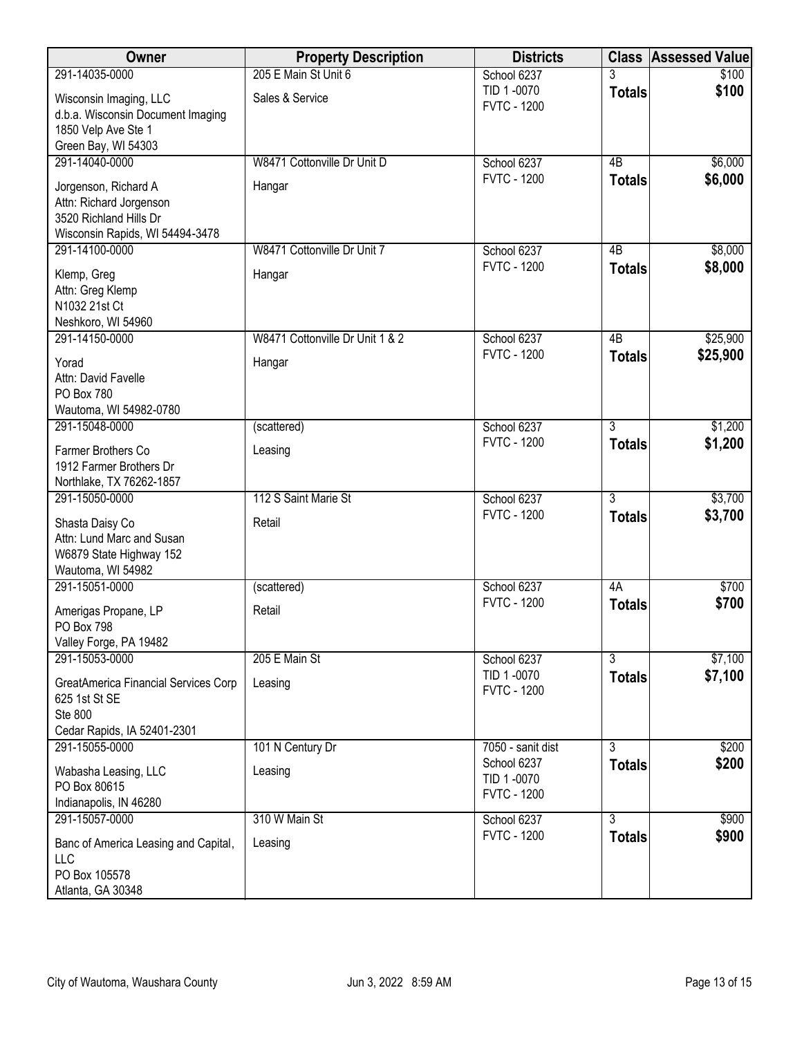| Owner                                                 | <b>Property Description</b>     | <b>Districts</b>                  |                 | <b>Class Assessed Value</b> |
|-------------------------------------------------------|---------------------------------|-----------------------------------|-----------------|-----------------------------|
| 291-14035-0000                                        | 205 E Main St Unit 6            | School 6237                       | 3               | \$100                       |
| Wisconsin Imaging, LLC                                | Sales & Service                 | TID 1-0070<br><b>FVTC - 1200</b>  | <b>Totals</b>   | \$100                       |
| d.b.a. Wisconsin Document Imaging                     |                                 |                                   |                 |                             |
| 1850 Velp Ave Ste 1                                   |                                 |                                   |                 |                             |
| Green Bay, WI 54303<br>291-14040-0000                 | W8471 Cottonville Dr Unit D     | School 6237                       | 4B              | \$6,000                     |
|                                                       |                                 | <b>FVTC - 1200</b>                | <b>Totals</b>   | \$6,000                     |
| Jorgenson, Richard A                                  | Hangar                          |                                   |                 |                             |
| Attn: Richard Jorgenson<br>3520 Richland Hills Dr     |                                 |                                   |                 |                             |
| Wisconsin Rapids, WI 54494-3478                       |                                 |                                   |                 |                             |
| 291-14100-0000                                        | W8471 Cottonville Dr Unit 7     | School 6237                       | 4B              | \$8,000                     |
| Klemp, Greg                                           | Hangar                          | <b>FVTC - 1200</b>                | <b>Totals</b>   | \$8,000                     |
| Attn: Greg Klemp                                      |                                 |                                   |                 |                             |
| N1032 21st Ct                                         |                                 |                                   |                 |                             |
| Neshkoro, WI 54960                                    |                                 |                                   |                 |                             |
| 291-14150-0000                                        | W8471 Cottonville Dr Unit 1 & 2 | School 6237                       | $\overline{AB}$ | \$25,900                    |
| Yorad                                                 | Hangar                          | <b>FVTC - 1200</b>                | <b>Totals</b>   | \$25,900                    |
| Attn: David Favelle                                   |                                 |                                   |                 |                             |
| PO Box 780<br>Wautoma, WI 54982-0780                  |                                 |                                   |                 |                             |
| 291-15048-0000                                        | (scattered)                     | School 6237                       | $\overline{3}$  | \$1,200                     |
|                                                       |                                 | <b>FVTC - 1200</b>                | <b>Totals</b>   | \$1,200                     |
| Farmer Brothers Co<br>1912 Farmer Brothers Dr         | Leasing                         |                                   |                 |                             |
| Northlake, TX 76262-1857                              |                                 |                                   |                 |                             |
| 291-15050-0000                                        | 112 S Saint Marie St            | School 6237                       | $\overline{3}$  | \$3,700                     |
| Shasta Daisy Co                                       | Retail                          | <b>FVTC - 1200</b>                | <b>Totals</b>   | \$3,700                     |
| Attn: Lund Marc and Susan                             |                                 |                                   |                 |                             |
| W6879 State Highway 152                               |                                 |                                   |                 |                             |
| Wautoma, WI 54982                                     |                                 |                                   |                 |                             |
| 291-15051-0000                                        | (scattered)                     | School 6237<br><b>FVTC - 1200</b> | 4A              | \$700                       |
| Amerigas Propane, LP                                  | Retail                          |                                   | <b>Totals</b>   | \$700                       |
| PO Box 798                                            |                                 |                                   |                 |                             |
| Valley Forge, PA 19482<br>291-15053-0000              | 205 E Main St                   | School 6237                       | $\overline{3}$  | \$7,100                     |
|                                                       |                                 | TID 1-0070                        | <b>Totals</b>   | \$7,100                     |
| GreatAmerica Financial Services Corp<br>625 1st St SE | Leasing                         | <b>FVTC - 1200</b>                |                 |                             |
| Ste 800                                               |                                 |                                   |                 |                             |
| Cedar Rapids, IA 52401-2301                           |                                 |                                   |                 |                             |
| 291-15055-0000                                        | 101 N Century Dr                | 7050 - sanit dist                 | $\overline{3}$  | \$200                       |
| Wabasha Leasing, LLC                                  | Leasing                         | School 6237                       | <b>Totals</b>   | \$200                       |
| PO Box 80615                                          |                                 | TID 1-0070<br><b>FVTC - 1200</b>  |                 |                             |
| Indianapolis, IN 46280                                |                                 |                                   |                 |                             |
| 291-15057-0000                                        | 310 W Main St                   | School 6237                       | $\overline{3}$  | \$900                       |
| Banc of America Leasing and Capital,                  | Leasing                         | <b>FVTC - 1200</b>                | <b>Totals</b>   | \$900                       |
| LLC                                                   |                                 |                                   |                 |                             |
| PO Box 105578<br>Atlanta, GA 30348                    |                                 |                                   |                 |                             |
|                                                       |                                 |                                   |                 |                             |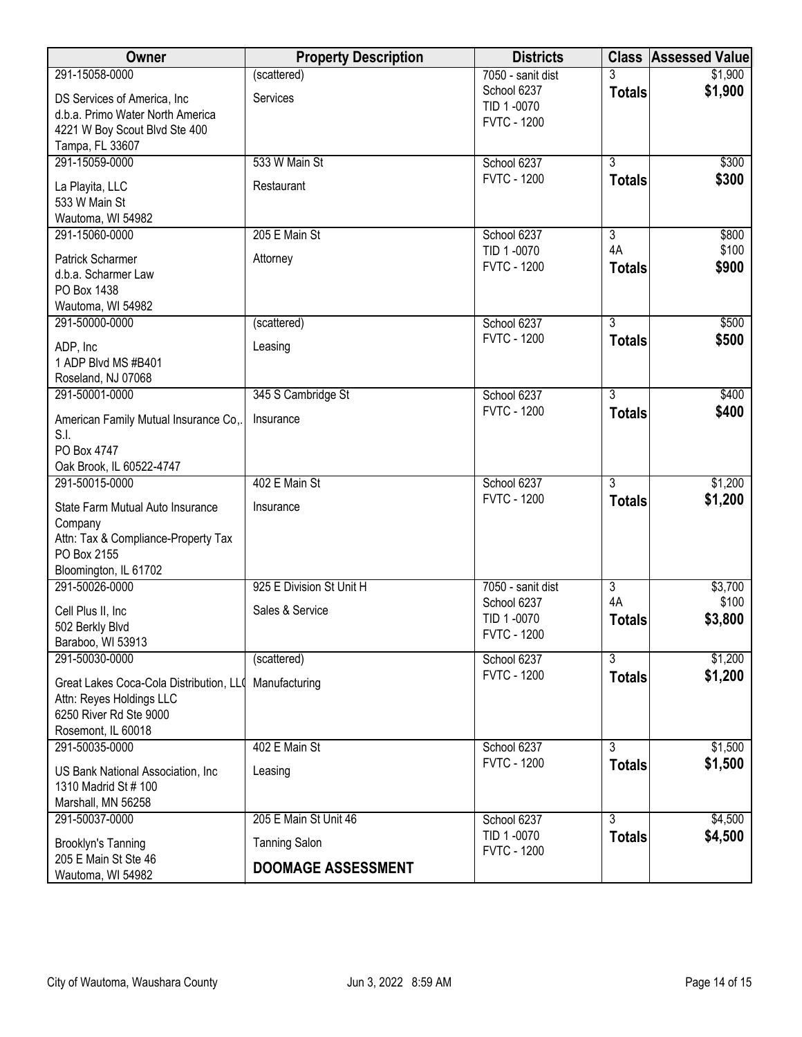| Owner                                                                                                                      | <b>Property Description</b> | <b>Districts</b>                                |                     | <b>Class Assessed Value</b> |
|----------------------------------------------------------------------------------------------------------------------------|-----------------------------|-------------------------------------------------|---------------------|-----------------------------|
| 291-15058-0000                                                                                                             | (scattered)                 | 7050 - sanit dist                               | 3                   | \$1,900                     |
| DS Services of America, Inc.<br>d.b.a. Primo Water North America<br>4221 W Boy Scout Blvd Ste 400                          | Services                    | School 6237<br>TID 1-0070<br><b>FVTC - 1200</b> | <b>Totals</b>       | \$1,900                     |
| Tampa, FL 33607                                                                                                            |                             |                                                 |                     |                             |
| 291-15059-0000                                                                                                             | 533 W Main St               | School 6237                                     | $\overline{3}$      | \$300                       |
| La Playita, LLC<br>533 W Main St<br>Wautoma, WI 54982                                                                      | Restaurant                  | <b>FVTC - 1200</b>                              | <b>Totals</b>       | \$300                       |
| 291-15060-0000                                                                                                             | 205 E Main St               | School 6237                                     | $\overline{3}$      | \$800                       |
| Patrick Scharmer<br>d.b.a. Scharmer Law<br>PO Box 1438<br>Wautoma, WI 54982                                                | Attorney                    | TID 1-0070<br><b>FVTC - 1200</b>                | 4A<br><b>Totals</b> | \$100<br>\$900              |
| 291-50000-0000                                                                                                             | (scattered)                 | School 6237                                     | $\overline{3}$      | \$500                       |
| ADP, Inc<br>1 ADP Blvd MS #B401<br>Roseland, NJ 07068                                                                      | Leasing                     | <b>FVTC - 1200</b>                              | <b>Totals</b>       | \$500                       |
| 291-50001-0000                                                                                                             | 345 S Cambridge St          | School 6237                                     | $\overline{3}$      | \$400                       |
| American Family Mutual Insurance Co,.<br>S.I.<br>PO Box 4747                                                               | Insurance                   | <b>FVTC - 1200</b>                              | <b>Totals</b>       | \$400                       |
| Oak Brook, IL 60522-4747<br>291-50015-0000                                                                                 | 402 E Main St               | School 6237                                     | $\overline{3}$      | \$1,200                     |
|                                                                                                                            |                             | <b>FVTC - 1200</b>                              | <b>Totals</b>       | \$1,200                     |
| State Farm Mutual Auto Insurance<br>Company<br>Attn: Tax & Compliance-Property Tax<br>PO Box 2155<br>Bloomington, IL 61702 | Insurance                   |                                                 |                     |                             |
| 291-50026-0000                                                                                                             | 925 E Division St Unit H    | 7050 - sanit dist                               | $\overline{3}$      | \$3,700                     |
| Cell Plus II, Inc<br>502 Berkly Blvd<br>Baraboo, WI 53913                                                                  | Sales & Service             | School 6237<br>TID 1-0070<br><b>FVTC - 1200</b> | 4A<br><b>Totals</b> | \$100<br>\$3,800            |
| 291-50030-0000                                                                                                             | (scattered)                 | School 6237                                     | $\overline{3}$      | \$1,200                     |
| Great Lakes Coca-Cola Distribution, LL0<br>Attn: Reyes Holdings LLC<br>6250 River Rd Ste 9000<br>Rosemont, IL 60018        | Manufacturing               | <b>FVTC - 1200</b>                              | <b>Totals</b>       | \$1,200                     |
| 291-50035-0000                                                                                                             | 402 E Main St               | School 6237                                     | $\overline{3}$      | \$1,500                     |
| US Bank National Association, Inc.<br>1310 Madrid St # 100<br>Marshall, MN 56258                                           | Leasing                     | <b>FVTC - 1200</b>                              | <b>Totals</b>       | \$1,500                     |
| 291-50037-0000                                                                                                             | 205 E Main St Unit 46       | School 6237                                     | $\overline{3}$      | \$4,500                     |
| <b>Brooklyn's Tanning</b>                                                                                                  | <b>Tanning Salon</b>        | TID 1-0070<br><b>FVTC - 1200</b>                | <b>Totals</b>       | \$4,500                     |
| 205 E Main St Ste 46<br>Wautoma, WI 54982                                                                                  | <b>DOOMAGE ASSESSMENT</b>   |                                                 |                     |                             |